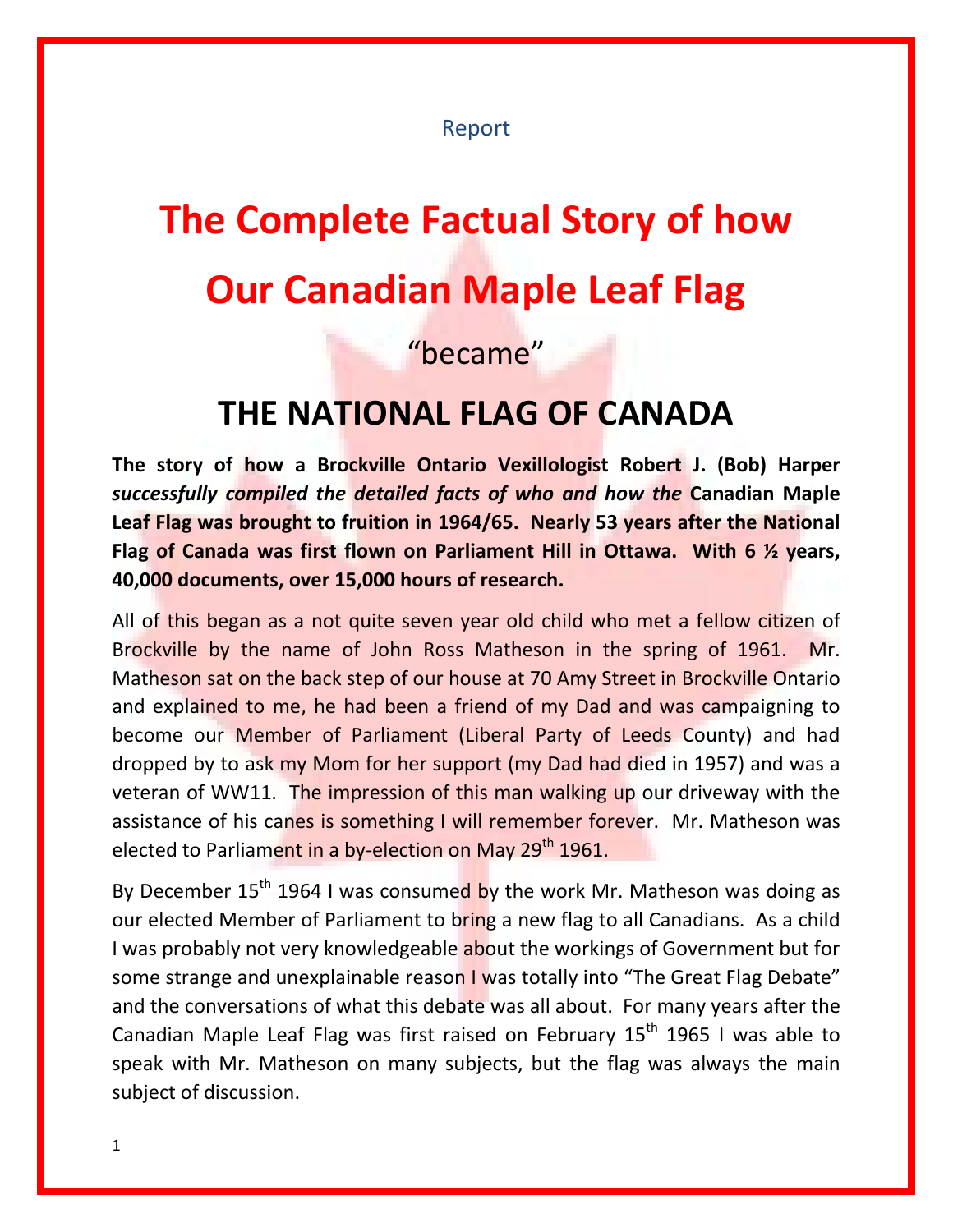#### Report

# **The Complete Factual Story of how Our Canadian Maple Leaf Flag**

#### "became"

### **THE NATIONAL FLAG OF CANADA**

**The story of how a Brockville Ontario Vexillologist Robert J. (Bob) Harper** *successfully compiled the detailed facts of who and how the* **Canadian Maple Leaf Flag was brought to fruition in 1964/65. Nearly 53 years after the National Flag of Canada was first flown on Parliament Hill in Ottawa. With 6 ½ years, 40,000 documents, over 15,000 hours of research.**

All of this began as a not quite seven year old child who met a fellow citizen of Brockville by the name of John Ross Matheson in the spring of 1961. Mr. Matheson sat on the back step of our house at 70 Amy Street in Brockville Ontario and explained to me, he had been a friend of my Dad and was campaigning to become our Member of Parliament (Liberal Party of Leeds County) and had dropped by to ask my Mom for her support (my Dad had died in 1957) and was a veteran of WW11. The impression of this man walking up our driveway with the assistance of his canes is something I will remember forever. Mr. Matheson was elected to Parliament in a by-election on May 29<sup>th</sup> 1961.

By December  $15<sup>th</sup>$  1964 I was consumed by the work Mr. Matheson was doing as our elected Member of Parliament to bring a new flag to all Canadians. As a child I was probably not very knowledgeable about the workings of Government but for some strange and unexplainable reason I was totally into "The Great Flag Debate" and the conversations of what this debate was all about. For many years after the Canadian Maple Leaf Flag was first raised on February  $15<sup>th</sup>$  1965 I was able to speak with Mr. Matheson on many subjects, but the flag was always the main subject of discussion.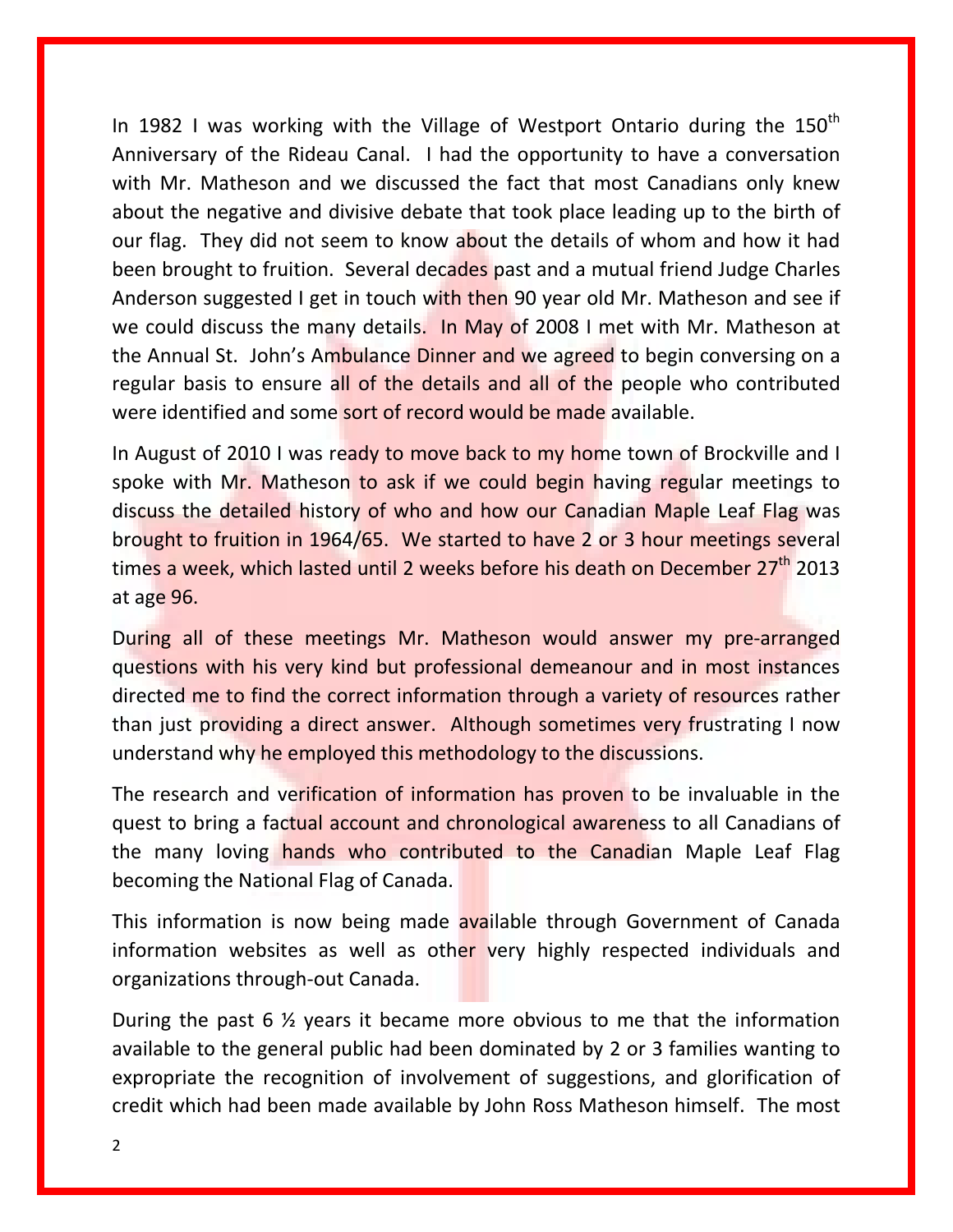In 1982 I was working with the Village of Westport Ontario during the  $150<sup>th</sup>$ Anniversary of the Rideau Canal. I had the opportunity to have a conversation with Mr. Matheson and we discussed the fact that most Canadians only knew about the negative and divisive debate that took place leading up to the birth of our flag. They did not seem to know about the details of whom and how it had been brought to fruition. Several decades past and a mutual friend Judge Charles Anderson suggested I get in touch with then 90 year old Mr. Matheson and see if we could discuss the many details. In May of 2008 I met with Mr. Matheson at the Annual St. John's Ambulance Dinner and we agreed to begin conversing on a regular basis to ensure all of the details and all of the people who contributed were identified and some sort of record would be made available.

In August of 2010 I was ready to move back to my home town of Brockville and I spoke with Mr. Matheson to ask if we could begin having regular meetings to discuss the detailed history of who and how our Canadian Maple Leaf Flag was brought to fruition in 1964/65. We started to have 2 or 3 hour meetings several times a week, which lasted until 2 weeks before his death on December 27<sup>th</sup> 2013 at age 96.

During all of these meetings Mr. Matheson would answer my pre-arranged questions with his very kind but professional demeanour and in most instances directed me to find the correct information through a variety of resources rather than just providing a direct answer. Although sometimes very frustrating I now understand why he employed this methodology to the discussions.

The research and verification of information has proven to be invaluable in the quest to bring a factual account and chronological awareness to all Canadians of the many loving hands who contributed to the Canadian Maple Leaf Flag becoming the National Flag of Canada.

This information is now being made available through Government of Canada information websites as well as other very highly respected individuals and organizations through-out Canada.

During the past 6 ½ years it became more obvious to me that the information available to the general public had been dominated by 2 or 3 families wanting to expropriate the recognition of involvement of suggestions, and glorification of credit which had been made available by John Ross Matheson himself. The most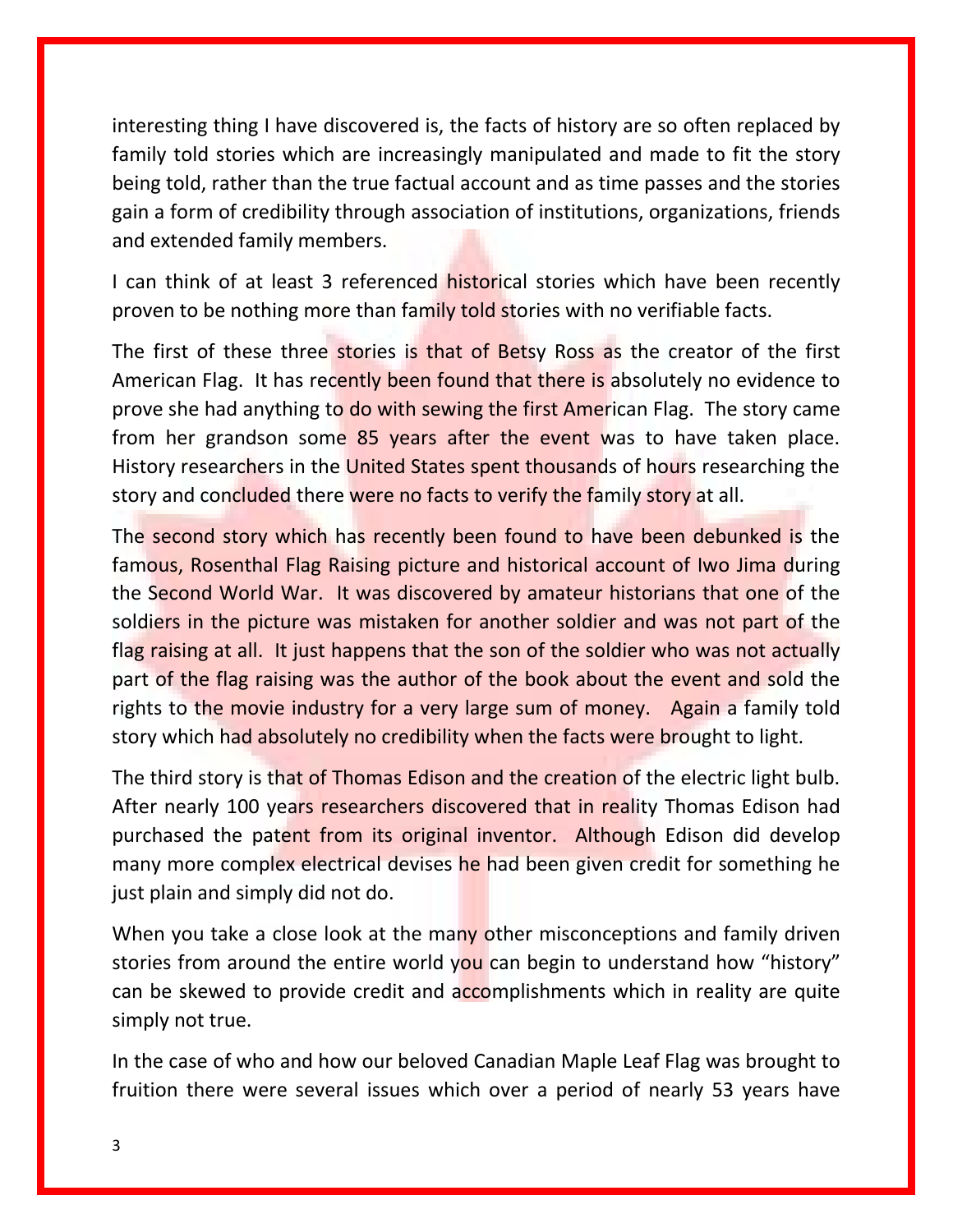interesting thing I have discovered is, the facts of history are so often replaced by family told stories which are increasingly manipulated and made to fit the story being told, rather than the true factual account and as time passes and the stories gain a form of credibility through association of institutions, organizations, friends and extended family members.

I can think of at least 3 referenced historical stories which have been recently proven to be nothing more than family told stories with no verifiable facts.

The first of these three stories is that of Betsy Ross as the creator of the first American Flag. It has recently been found that there is absolutely no evidence to prove she had anything to do with sewing the first American Flag. The story came from her grandson some 85 years after the event was to have taken place. History researchers in the United States spent thousands of hours researching the story and concluded there were no facts to verify the family story at all.

The second story which has recently been found to have been debunked is the famous, Rosenthal Flag Raising picture and historical account of Iwo Jima during the Second World War. It was discovered by amateur historians that one of the soldiers in the picture was mistaken for another soldier and was not part of the flag raising at all. It just happens that the son of the soldier who was not actually part of the flag raising was the author of the book about the event and sold the rights to the movie industry for a very large sum of money. Again a family told story which had absolutely no credibility when the facts were brought to light.

The third story is that of Thomas Edison and the creation of the electric light bulb. After nearly 100 years researchers discovered that in reality Thomas Edison had purchased the patent from its original inventor. Although Edison did develop many more complex electrical devises he had been given credit for something he just plain and simply did not do.

When you take a close look at the many other misconceptions and family driven stories from around the entire world you can begin to understand how "history" can be skewed to provide credit and accomplishments which in reality are quite simply not true.

In the case of who and how our beloved Canadian Maple Leaf Flag was brought to fruition there were several issues which over a period of nearly 53 years have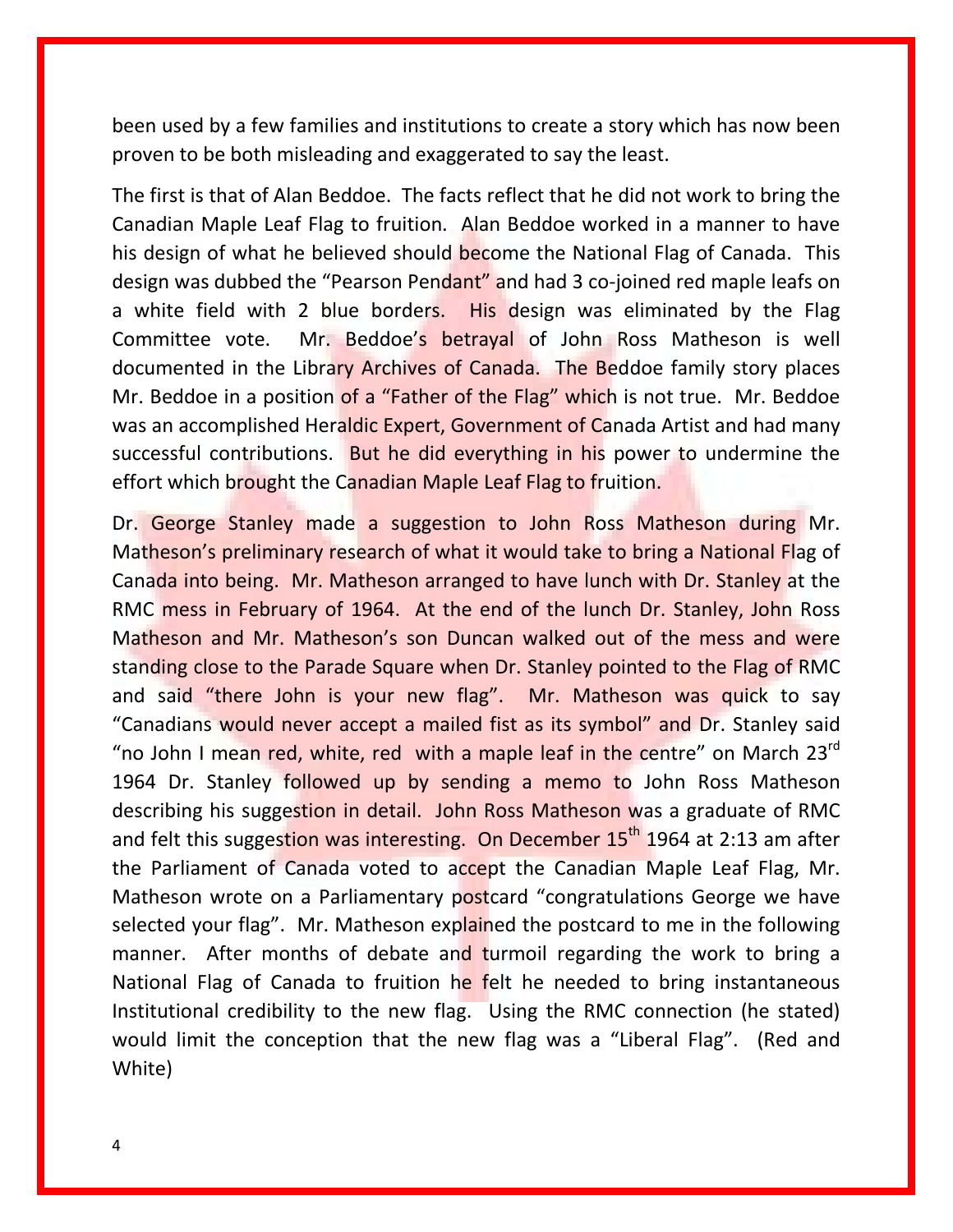been used by a few families and institutions to create a story which has now been proven to be both misleading and exaggerated to say the least.

The first is that of Alan Beddoe. The facts reflect that he did not work to bring the Canadian Maple Leaf Flag to fruition. Alan Beddoe worked in a manner to have his design of what he believed should become the National Flag of Canada. This design was dubbed the "Pearson Pendant" and had 3 co-joined red maple leafs on a white field with 2 blue borders. His design was eliminated by the Flag Committee vote. Mr. Beddoe's betrayal of John Ross Matheson is well documented in the Library Archives of Canada. The Beddoe family story places Mr. Beddoe in a position of a "Father of the Flag" which is not true. Mr. Beddoe was an accomplished Heraldic Expert, Government of Canada Artist and had many successful contributions. But he did everything in his power to undermine the effort which brought the Canadian Maple Leaf Flag to fruition.

Dr. George Stanley made a suggestion to John Ross Matheson during Mr. Matheson's preliminary research of what it would take to bring a National Flag of Canada into being. Mr. Matheson arranged to have lunch with Dr. Stanley at the RMC mess in February of 1964. At the end of the lunch Dr. Stanley, John Ross Matheson and Mr. Matheson's son Duncan walked out of the mess and were standing close to the Parade Square when Dr. Stanley pointed to the Flag of RMC and said "there John is your new flag". Mr. Matheson was quick to say "Canadians would never accept a mailed fist as its symbol" and Dr. Stanley said "no John I mean red, white, red with a maple leaf in the centre" on March  $23<sup>rd</sup>$ 1964 Dr. Stanley followed up by sending a memo to John Ross Matheson describing his suggestion in detail. John Ross Matheson was a graduate of RMC and felt this suggestion was interesting. On December  $15<sup>th</sup>$  1964 at 2:13 am after the Parliament of Canada voted to accept the Canadian Maple Leaf Flag, Mr. Matheson wrote on a Parliamentary postcard "congratulations George we have selected your flag". Mr. Matheson explained the postcard to me in the following manner. After months of debate and turmoil regarding the work to bring a National Flag of Canada to fruition he felt he needed to bring instantaneous Institutional credibility to the new flag. Using the RMC connection (he stated) would limit the conception that the new flag was a "Liberal Flag". (Red and White)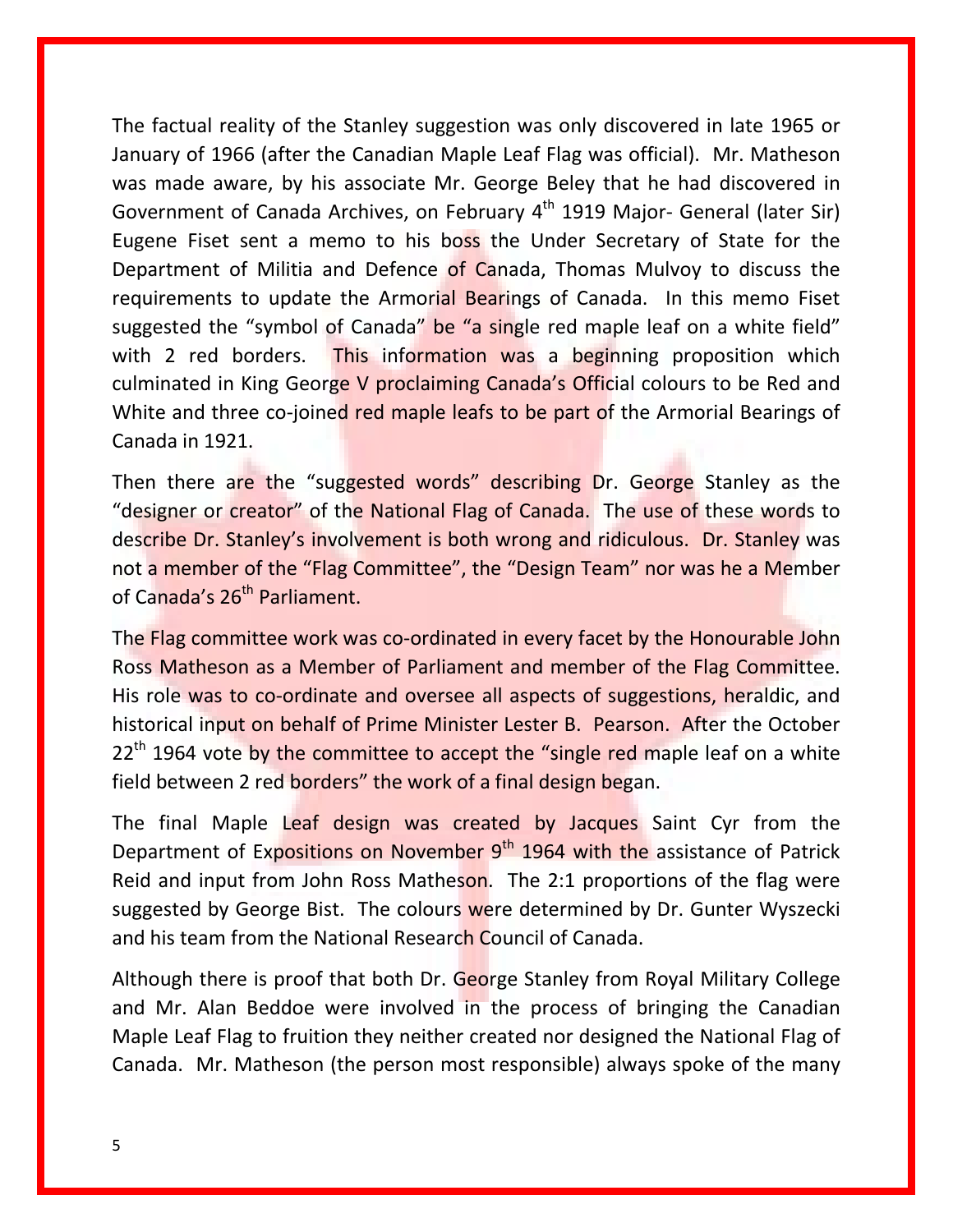The factual reality of the Stanley suggestion was only discovered in late 1965 or January of 1966 (after the Canadian Maple Leaf Flag was official). Mr. Matheson was made aware, by his associate Mr. George Beley that he had discovered in Government of Canada Archives, on February 4<sup>th</sup> 1919 Major- General (later Sir) Eugene Fiset sent a memo to his boss the Under Secretary of State for the Department of Militia and Defence of Canada, Thomas Mulvoy to discuss the requirements to update the Armorial Bearings of Canada. In this memo Fiset suggested the "symbol of Canada" be "a single red maple leaf on a white field" with 2 red borders. This information was a beginning proposition which culminated in King George V proclaiming Canada's Official colours to be Red and White and three co-joined red maple leafs to be part of the Armorial Bearings of Canada in 1921.

Then there are the "suggested words" describing Dr. George Stanley as the "designer or creator" of the National Flag of Canada. The use of these words to describe Dr. Stanley's involvement is both wrong and ridiculous. Dr. Stanley was not a member of the "Flag Committee", the "Design Team" nor was he a Member of Canada's 26<sup>th</sup> Parliament.

The Flag committee work was co-ordinated in every facet by the Honourable John Ross Matheson as a Member of Parliament and member of the Flag Committee. His role was to co-ordinate and oversee all aspects of suggestions, heraldic, and historical input on behalf of Prime Minister Lester B. Pearson. After the October  $22<sup>th</sup>$  1964 vote by the committee to accept the "single red maple leaf on a white field between 2 red borders" the work of a final design began.

The final Maple Leaf design was created by Jacques Saint Cyr from the Department of Expositions on November 9<sup>th</sup> 1964 with the assistance of Patrick Reid and input from John Ross Matheson. The 2:1 proportions of the flag were suggested by George Bist. The colours were determined by Dr. Gunter Wyszecki and his team from the National Research Council of Canada.

Although there is proof that both Dr. George Stanley from Royal Military College and Mr. Alan Beddoe were involved in the process of bringing the Canadian Maple Leaf Flag to fruition they neither created nor designed the National Flag of Canada. Mr. Matheson (the person most responsible) always spoke of the many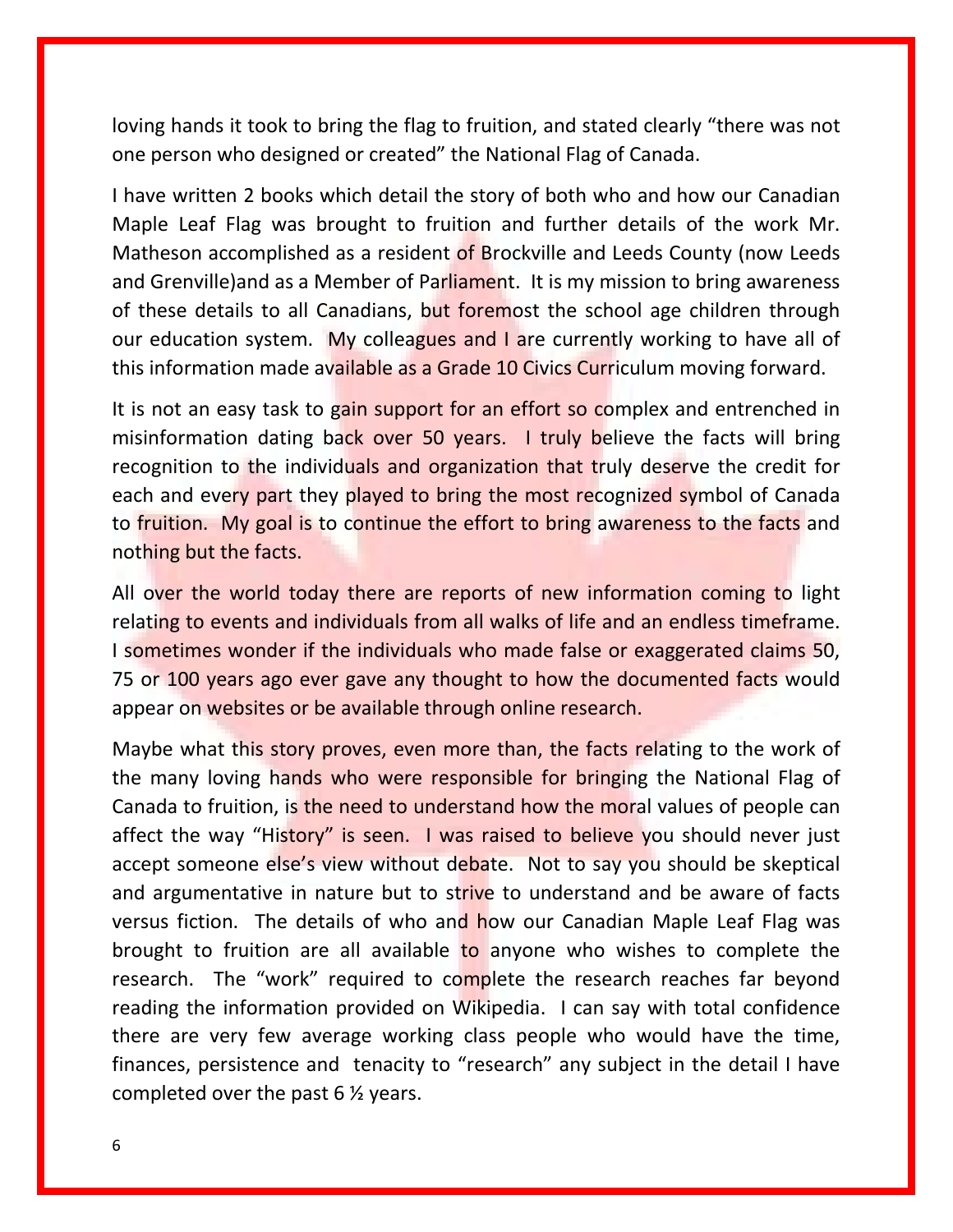loving hands it took to bring the flag to fruition, and stated clearly "there was not one person who designed or created" the National Flag of Canada.

I have written 2 books which detail the story of both who and how our Canadian Maple Leaf Flag was brought to fruition and further details of the work Mr. Matheson accomplished as a resident of Brockville and Leeds County (now Leeds and Grenville)and as a Member of Parliament. It is my mission to bring awareness of these details to all Canadians, but foremost the school age children through our education system. My colleagues and I are currently working to have all of this information made available as a Grade 10 Civics Curriculum moving forward.

It is not an easy task to gain support for an effort so complex and entrenched in misinformation dating back over 50 years. I truly believe the facts will bring recognition to the individuals and organization that truly deserve the credit for each and every part they played to bring the most recognized symbol of Canada to fruition. My goal is to continue the effort to bring awareness to the facts and nothing but the facts.

All over the world today there are reports of new information coming to light relating to events and individuals from all walks of life and an endless timeframe. I sometimes wonder if the individuals who made false or exaggerated claims 50, 75 or 100 years ago ever gave any thought to how the documented facts would appear on websites or be available through online research.

Maybe what this story proves, even more than, the facts relating to the work of the many loving hands who were responsible for bringing the National Flag of Canada to fruition, is the need to understand how the moral values of people can affect the way "History" is seen. I was raised to believe you should never just accept someone else's view without debate. Not to say you should be skeptical and argumentative in nature but to strive to understand and be aware of facts versus fiction. The details of who and how our Canadian Maple Leaf Flag was brought to fruition are all available to anyone who wishes to complete the research. The "work" required to complete the research reaches far beyond reading the information provided on Wikipedia. I can say with total confidence there are very few average working class people who would have the time, finances, persistence and tenacity to "research" any subject in the detail I have completed over the past 6 ½ years.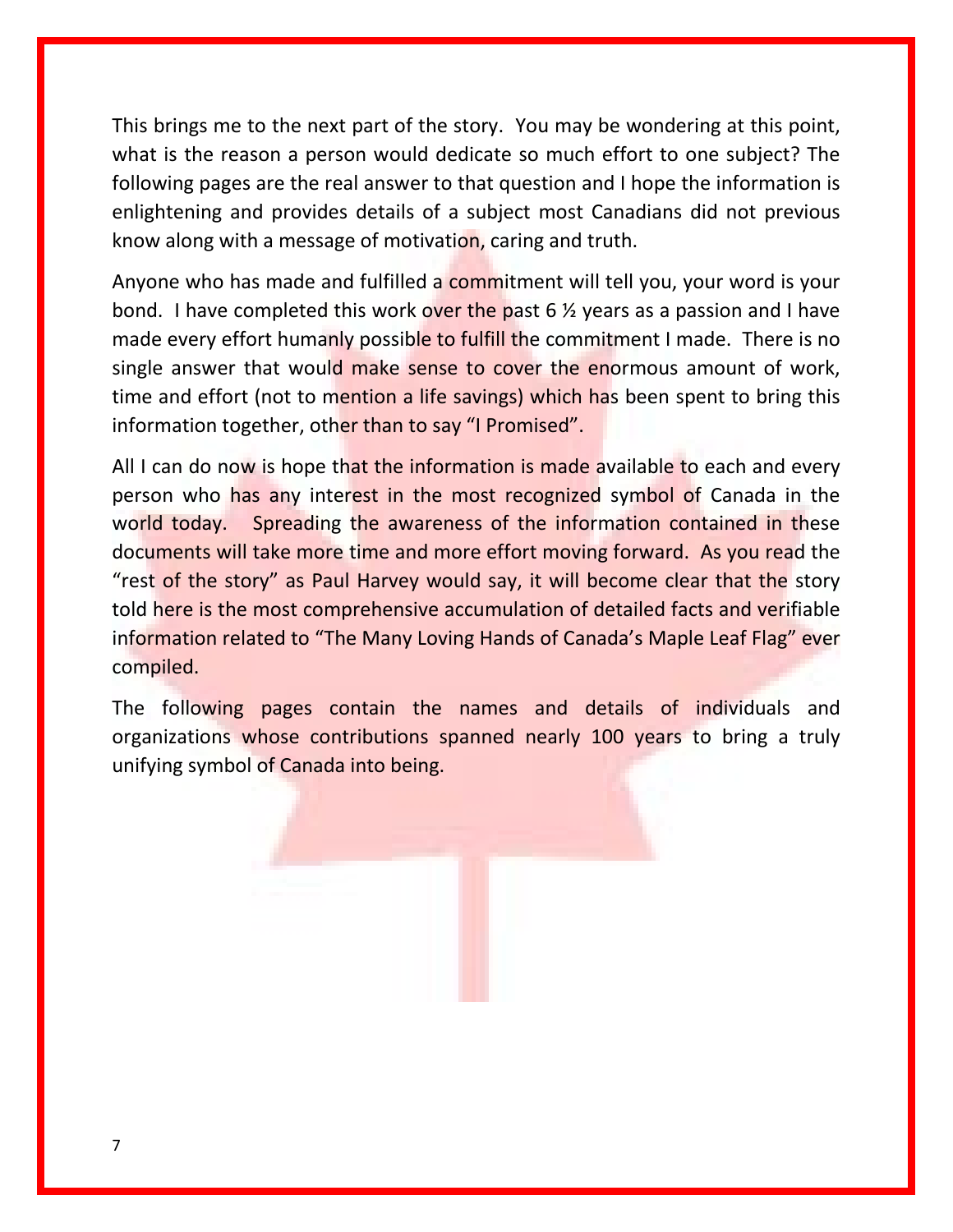This brings me to the next part of the story. You may be wondering at this point, what is the reason a person would dedicate so much effort to one subject? The following pages are the real answer to that question and I hope the information is enlightening and provides details of a subject most Canadians did not previous know along with a message of motivation, caring and truth.

Anyone who has made and fulfilled a commitment will tell you, your word is your bond. I have completed this work over the past 6  $\frac{1}{2}$  years as a passion and I have made every effort humanly possible to fulfill the commitment I made. There is no single answer that would make sense to cover the enormous amount of work, time and effort (not to mention a life savings) which has been spent to bring this information together, other than to say "I Promised".

All I can do now is hope that the information is made available to each and every person who has any interest in the most recognized symbol of Canada in the world today. Spreading the awareness of the information contained in these documents will take more time and more effort moving forward. As you read the "rest of the story" as Paul Harvey would say, it will become clear that the story told here is the most comprehensive accumulation of detailed facts and verifiable information related to "The Many Loving Hands of Canada's Maple Leaf Flag" ever compiled.

The following pages contain the names and details of individuals and organizations whose contributions spanned nearly 100 years to bring a truly unifying symbol of Canada into being.

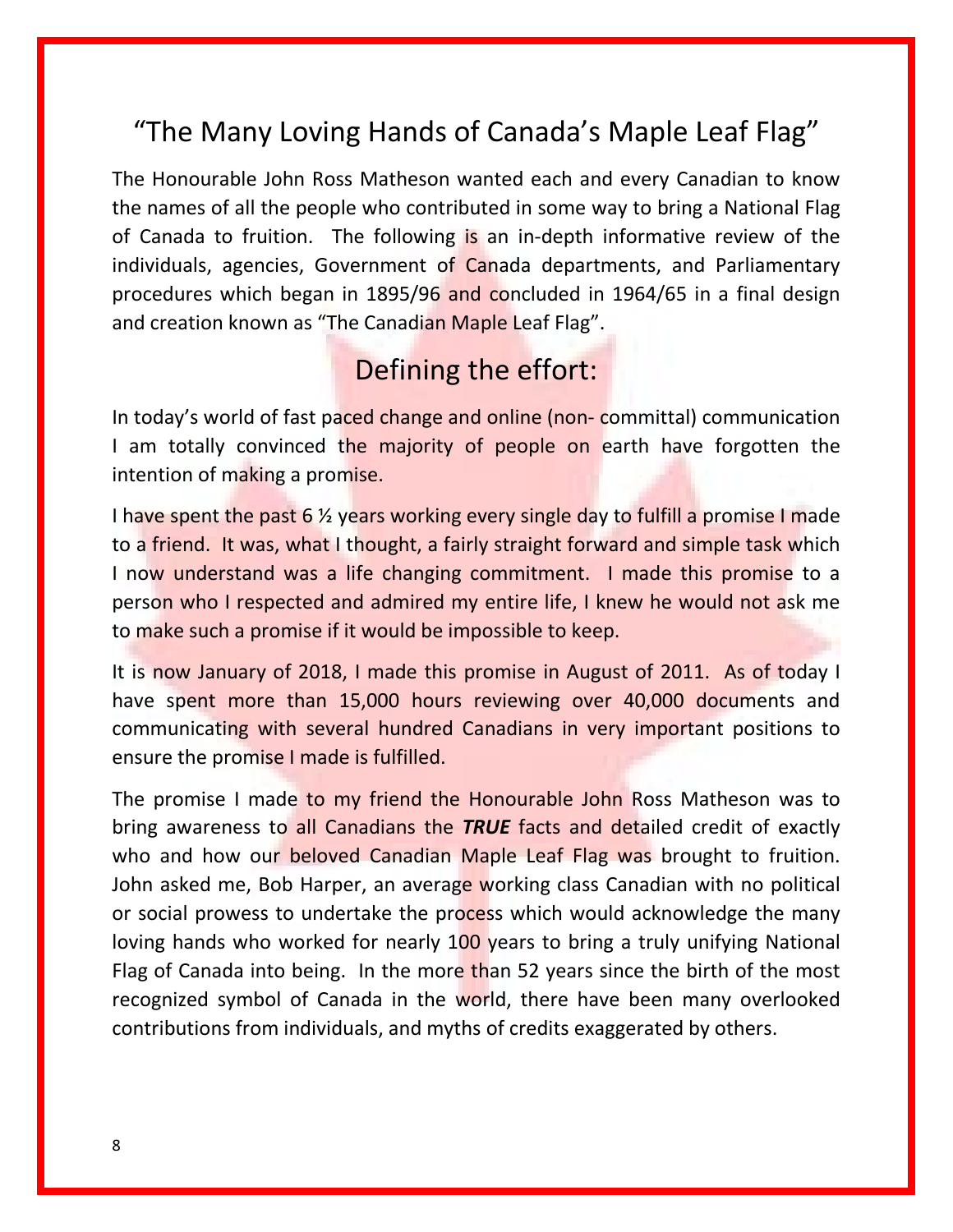#### "The Many Loving Hands of Canada's Maple Leaf Flag"

The Honourable John Ross Matheson wanted each and every Canadian to know the names of all the people who contributed in some way to bring a National Flag of Canada to fruition. The following is an in-depth informative review of the individuals, agencies, Government of Canada departments, and Parliamentary procedures which began in 1895/96 and concluded in 1964/65 in a final design and creation known as "The Canadian Maple Leaf Flag".

#### Defining the effort:

In today's world of fast paced change and online (non-committal) communication I am totally convinced the majority of people on earth have forgotten the intention of making a promise.

I have spent the past 6  $\frac{1}{2}$  years working every single day to fulfill a promise I made to a friend. It was, what I thought, a fairly straight forward and simple task which I now understand was a life changing commitment. I made this promise to a person who I respected and admired my entire life, I knew he would not ask me to make such a promise if it would be impossible to keep.

It is now January of 2018, I made this promise in August of 2011. As of today I have spent more than 15,000 hours reviewing over 40,000 documents and communicating with several hundred Canadians in very important positions to ensure the promise I made is fulfilled.

The promise I made to my friend the Honourable John Ross Matheson was to bring awareness to all Canadians the *TRUE* facts and detailed credit of exactly who and how our beloved Canadian Maple Leaf Flag was brought to fruition. John asked me, Bob Harper, an average working class Canadian with no political or social prowess to undertake the process which would acknowledge the many loving hands who worked for nearly 100 years to bring a truly unifying National Flag of Canada into being. In the more than 52 years since the birth of the most recognized symbol of Canada in the world, there have been many overlooked contributions from individuals, and myths of credits exaggerated by others.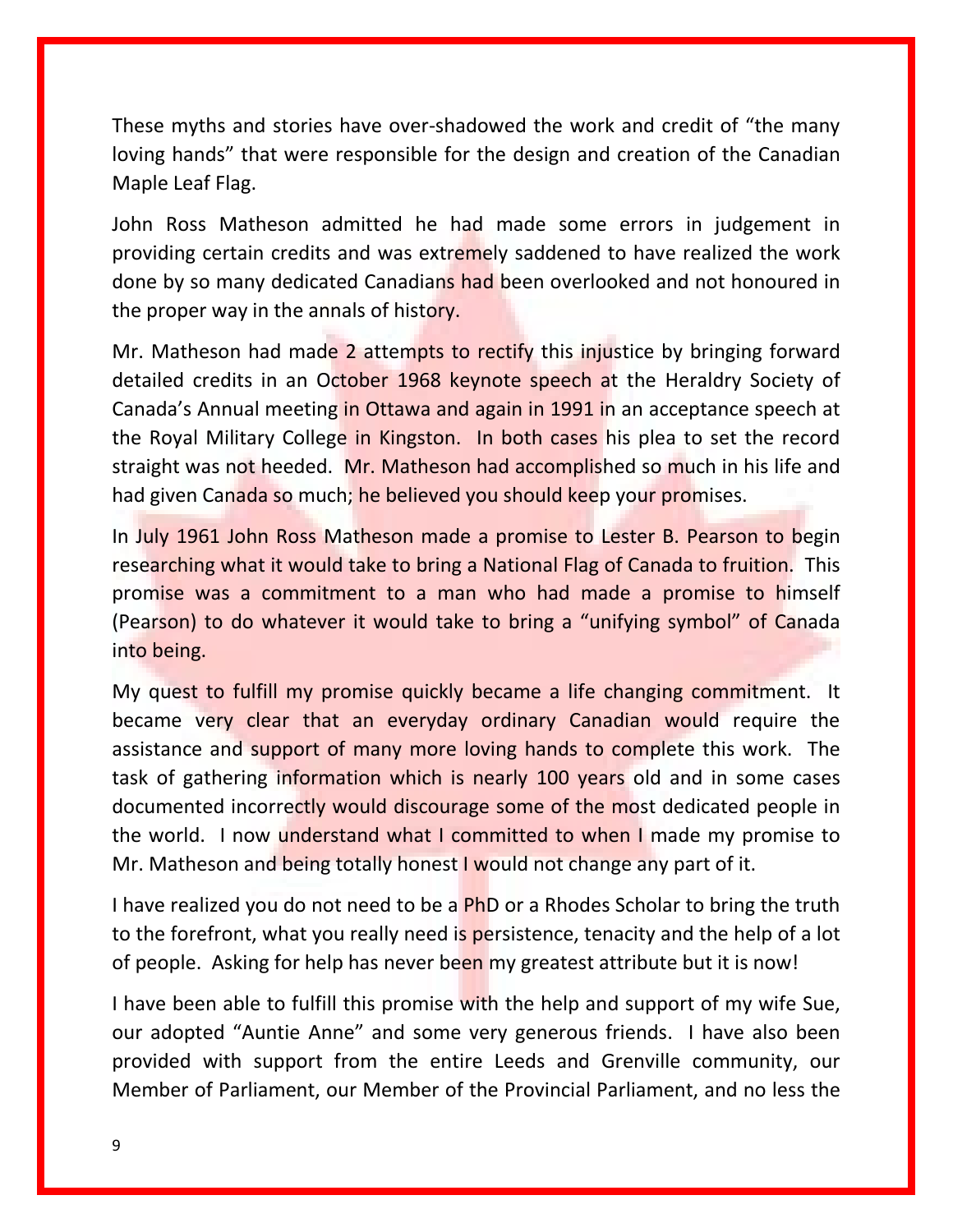These myths and stories have over-shadowed the work and credit of "the many loving hands" that were responsible for the design and creation of the Canadian Maple Leaf Flag.

John Ross Matheson admitted he had made some errors in judgement in providing certain credits and was extremely saddened to have realized the work done by so many dedicated Canadians had been overlooked and not honoured in the proper way in the annals of history.

Mr. Matheson had made 2 attempts to rectify this injustice by bringing forward detailed credits in an October 1968 keynote speech at the Heraldry Society of Canada's Annual meeting in Ottawa and again in 1991 in an acceptance speech at the Royal Military College in Kingston. In both cases his plea to set the record straight was not heeded. Mr. Matheson had accomplished so much in his life and had given Canada so much; he believed you should keep your promises.

In July 1961 John Ross Matheson made a promise to Lester B. Pearson to begin researching what it would take to bring a National Flag of Canada to fruition. This promise was a commitment to a man who had made a promise to himself (Pearson) to do whatever it would take to bring a "unifying symbol" of Canada into being.

My quest to fulfill my promise quickly became a life changing commitment. It became very clear that an everyday ordinary Canadian would require the assistance and support of many more loving hands to complete this work. The task of gathering information which is nearly 100 years old and in some cases documented incorrectly would discourage some of the most dedicated people in the world. I now understand what I committed to when I made my promise to Mr. Matheson and being totally honest I would not change any part of it.

I have realized you do not need to be a **PhD** or a Rhodes Scholar to bring the truth to the forefront, what you really need is persistence, tenacity and the help of a lot of people. Asking for help has never been my greatest attribute but it is now!

I have been able to fulfill this promise with the help and support of my wife Sue, our adopted "Auntie Anne" and some very generous friends. I have also been provided with support from the entire Leeds and Grenville community, our Member of Parliament, our Member of the Provincial Parliament, and no less the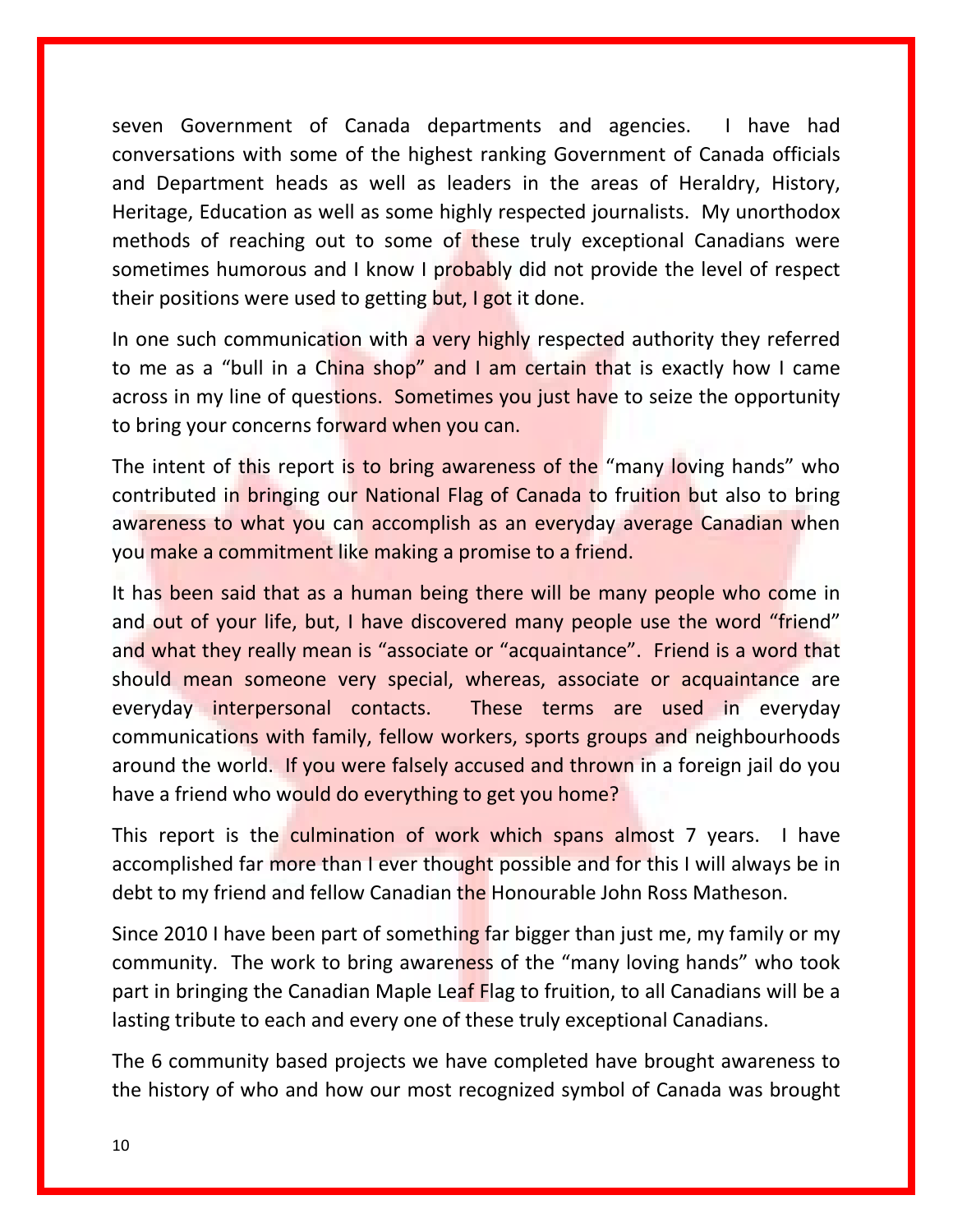seven Government of Canada departments and agencies. I have had conversations with some of the highest ranking Government of Canada officials and Department heads as well as leaders in the areas of Heraldry, History, Heritage, Education as well as some highly respected journalists. My unorthodox methods of reaching out to some of these truly exceptional Canadians were sometimes humorous and I know I probably did not provide the level of respect their positions were used to getting but, I got it done.

In one such communication with a very highly respected authority they referred to me as a "bull in a China shop" and I am certain that is exactly how I came across in my line of questions. Sometimes you just have to seize the opportunity to bring your concerns forward when you can.

The intent of this report is to bring awareness of the "many loving hands" who contributed in bringing our National Flag of Canada to fruition but also to bring awareness to what you can accomplish as an everyday average Canadian when you make a commitment like making a promise to a friend.

It has been said that as a human being there will be many people who come in and out of your life, but, I have discovered many people use the word "friend" and what they really mean is "associate or "acquaintance". Friend is a word that should mean someone very special, whereas, associate or acquaintance are everyday interpersonal contacts. These terms are used in everyday communications with family, fellow workers, sports groups and neighbourhoods around the world. If you were falsely accused and thrown in a foreign jail do you have a friend who would do everything to get you home?

This report is the culmination of work which spans almost 7 years. I have accomplished far more than I ever thought possible and for this I will always be in debt to my friend and fellow Canadian the Honourable John Ross Matheson.

Since 2010 I have been part of something far bigger than just me, my family or my community. The work to bring awareness of the "many loving hands" who took part in bringing the Canadian Maple Leaf Flag to fruition, to all Canadians will be a lasting tribute to each and every one of these truly exceptional Canadians.

The 6 community based projects we have completed have brought awareness to the history of who and how our most recognized symbol of Canada was brought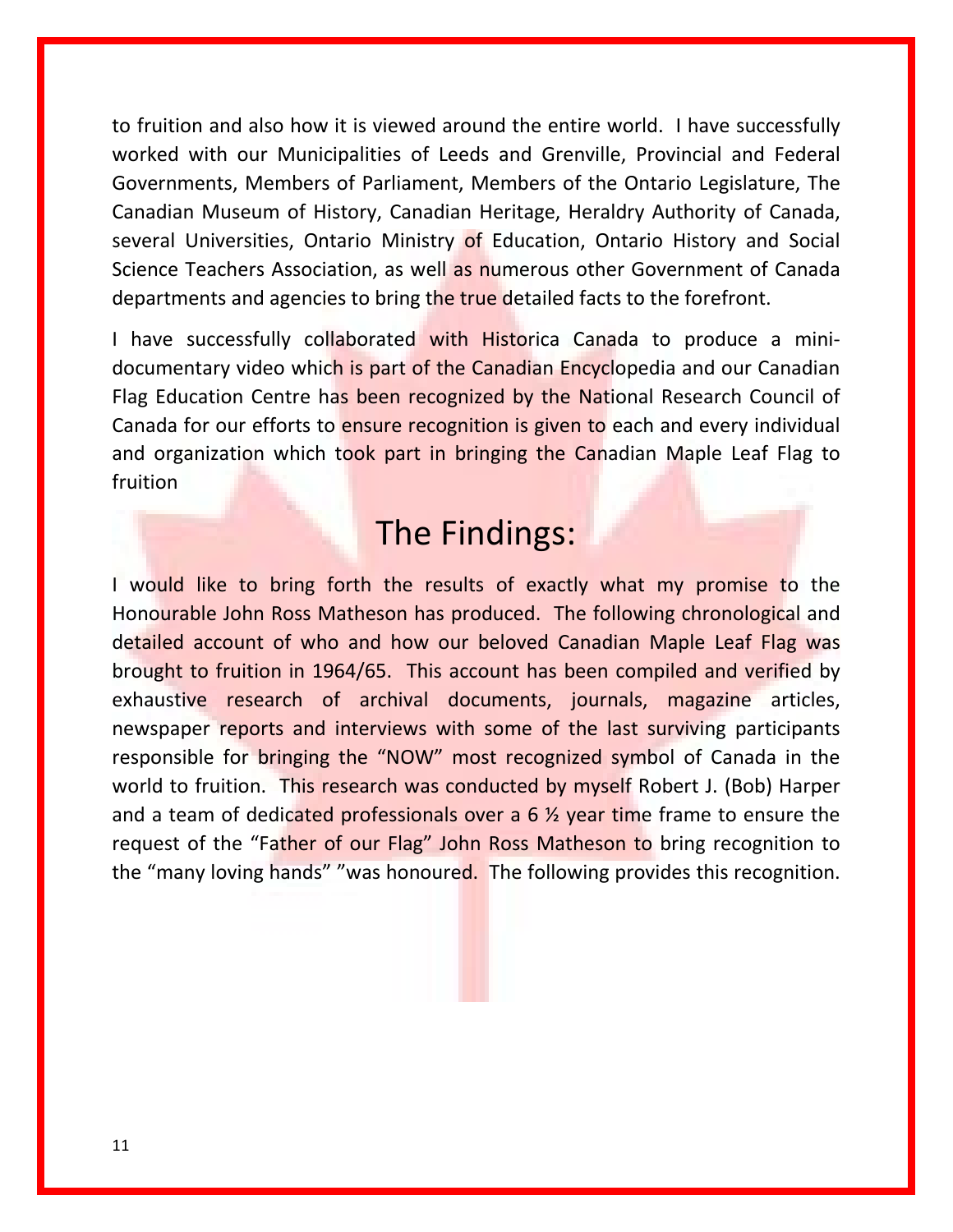to fruition and also how it is viewed around the entire world. I have successfully worked with our Municipalities of Leeds and Grenville, Provincial and Federal Governments, Members of Parliament, Members of the Ontario Legislature, The Canadian Museum of History, Canadian Heritage, Heraldry Authority of Canada, several Universities, Ontario Ministry of Education, Ontario History and Social Science Teachers Association, as well as numerous other Government of Canada departments and agencies to bring the true detailed facts to the forefront.

I have successfully collaborated with Historica Canada to produce a minidocumentary video which is part of the Canadian Encyclopedia and our Canadian Flag Education Centre has been recognized by the National Research Council of Canada for our efforts to ensure recognition is given to each and every individual and organization which took part in bringing the Canadian Maple Leaf Flag to fruition

## The Findings:

I would like to bring forth the results of exactly what my promise to the Honourable John Ross Matheson has produced. The following chronological and detailed account of who and how our beloved Canadian Maple Leaf Flag was brought to fruition in 1964/65. This account has been compiled and verified by exhaustive research of archival documents, journals, magazine articles, newspaper reports and interviews with some of the last surviving participants responsible for bringing the "NOW" most recognized symbol of Canada in the world to fruition. This research was conducted by myself Robert J. (Bob) Harper and a team of dedicated professionals over a  $6\frac{1}{2}$  year time frame to ensure the request of the "Father of our Flag" John Ross Matheson to bring recognition to the "many loving hands" "was honoured. The following provides this recognition.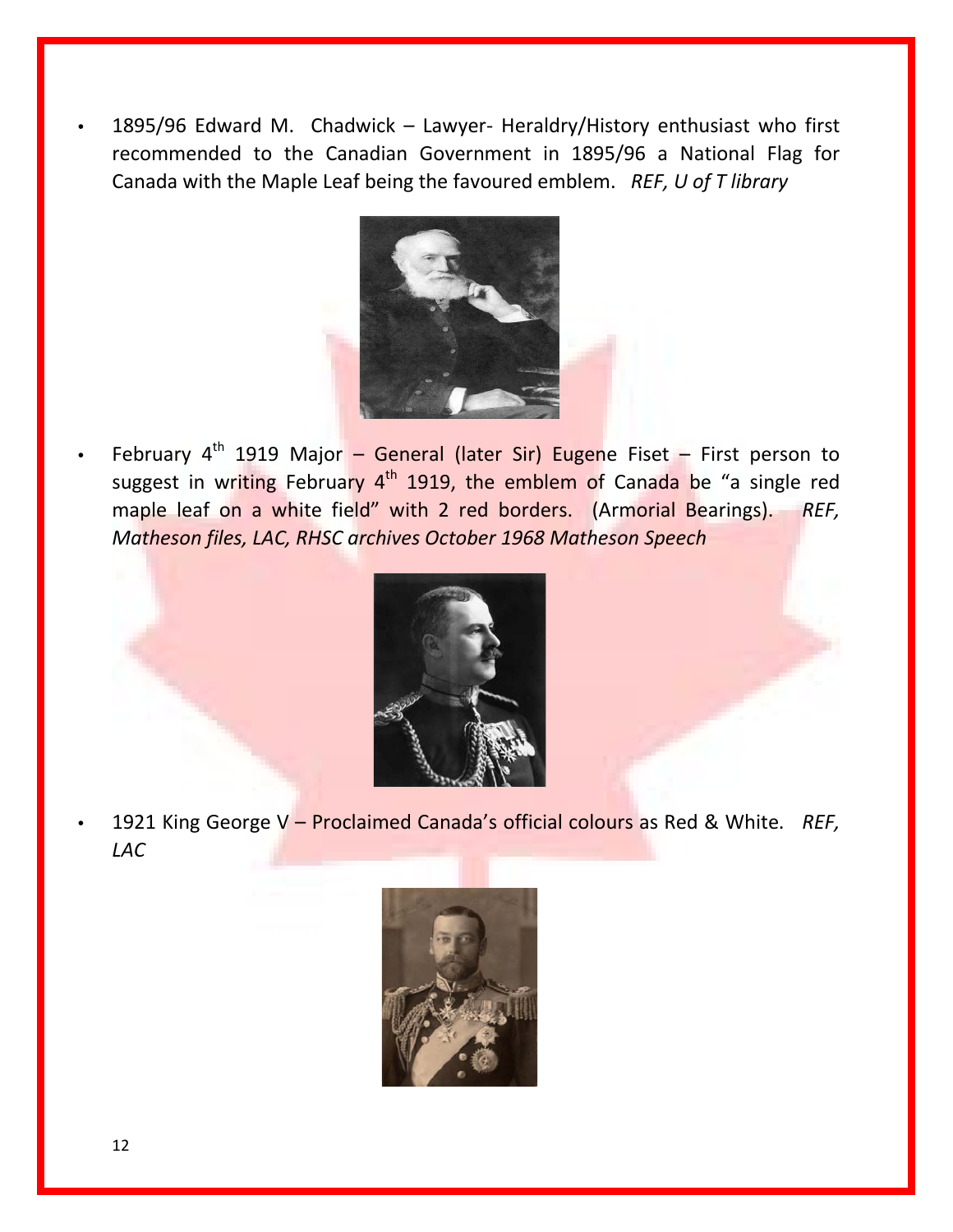• 1895/96 Edward M. Chadwick – Lawyer- Heraldry/History enthusiast who first recommended to the Canadian Government in 1895/96 a National Flag for Canada with the Maple Leaf being the favoured emblem. *REF, U of T library*



February  $4^{th}$  1919 Major – General (later Sir) Eugene Fiset – First person to suggest in writing February 4<sup>th</sup> 1919, the emblem of Canada be "a single red maple leaf on a white field" with 2 red borders. (Armorial Bearings). *REF, Matheson files, LAC, RHSC archives October 1968 Matheson Speech*



• 1921 King George V – Proclaimed Canada's official colours as Red & White. *REF, LAC*

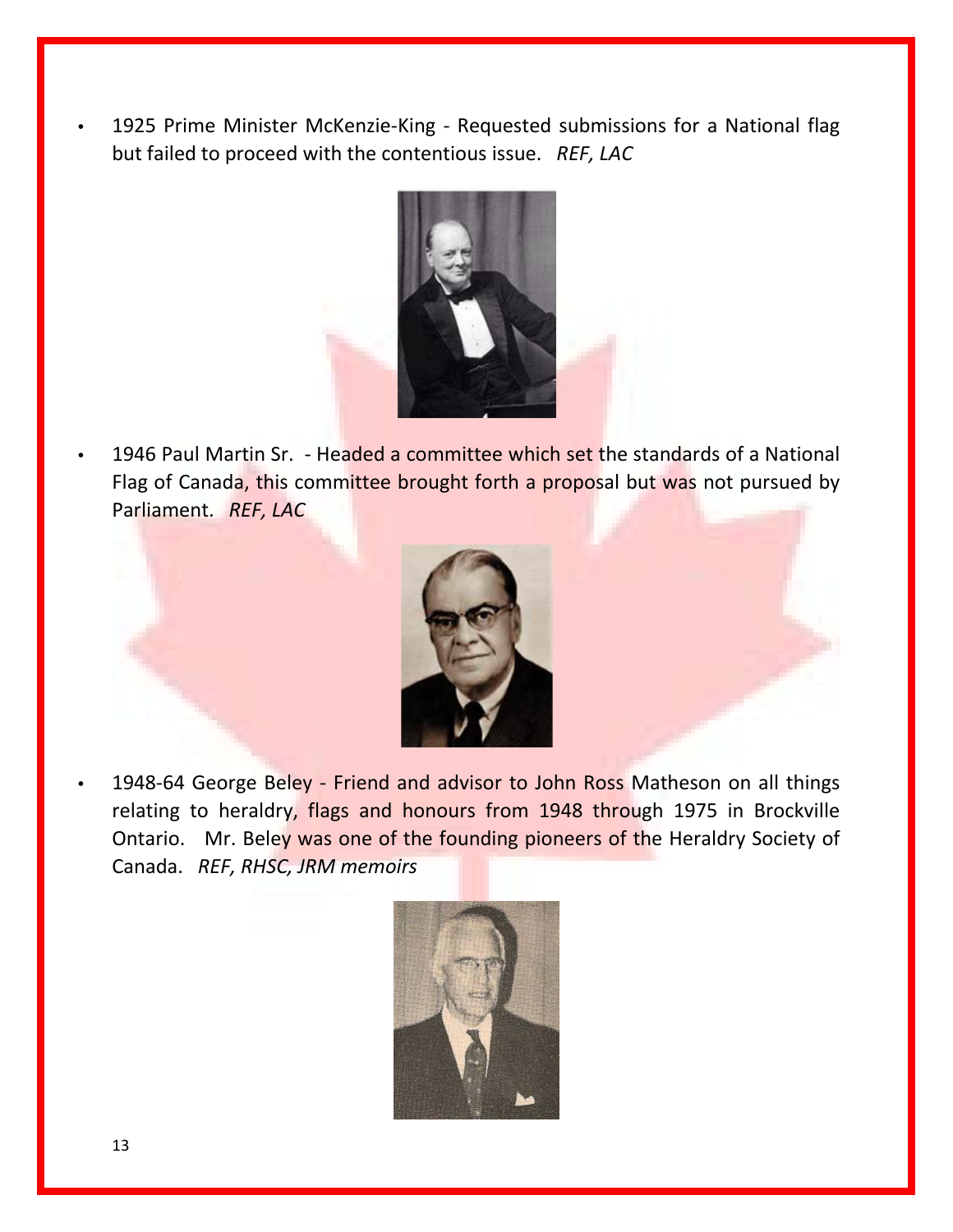1925 Prime Minister McKenzie-King - Requested submissions for a National flag but failed to proceed with the contentious issue. *REF, LAC*



• 1946 Paul Martin Sr. - Headed a committee which set the standards of a National Flag of Canada, this committee brought forth a proposal but was not pursued by Parliament. *REF, LAC*



1948-64 George Beley - Friend and advisor to John Ross Matheson on all things relating to heraldry, flags and honours from 1948 through 1975 in Brockville Ontario. Mr. Beley was one of the founding pioneers of the Heraldry Society of Canada. *REF, RHSC, JRM memoirs*

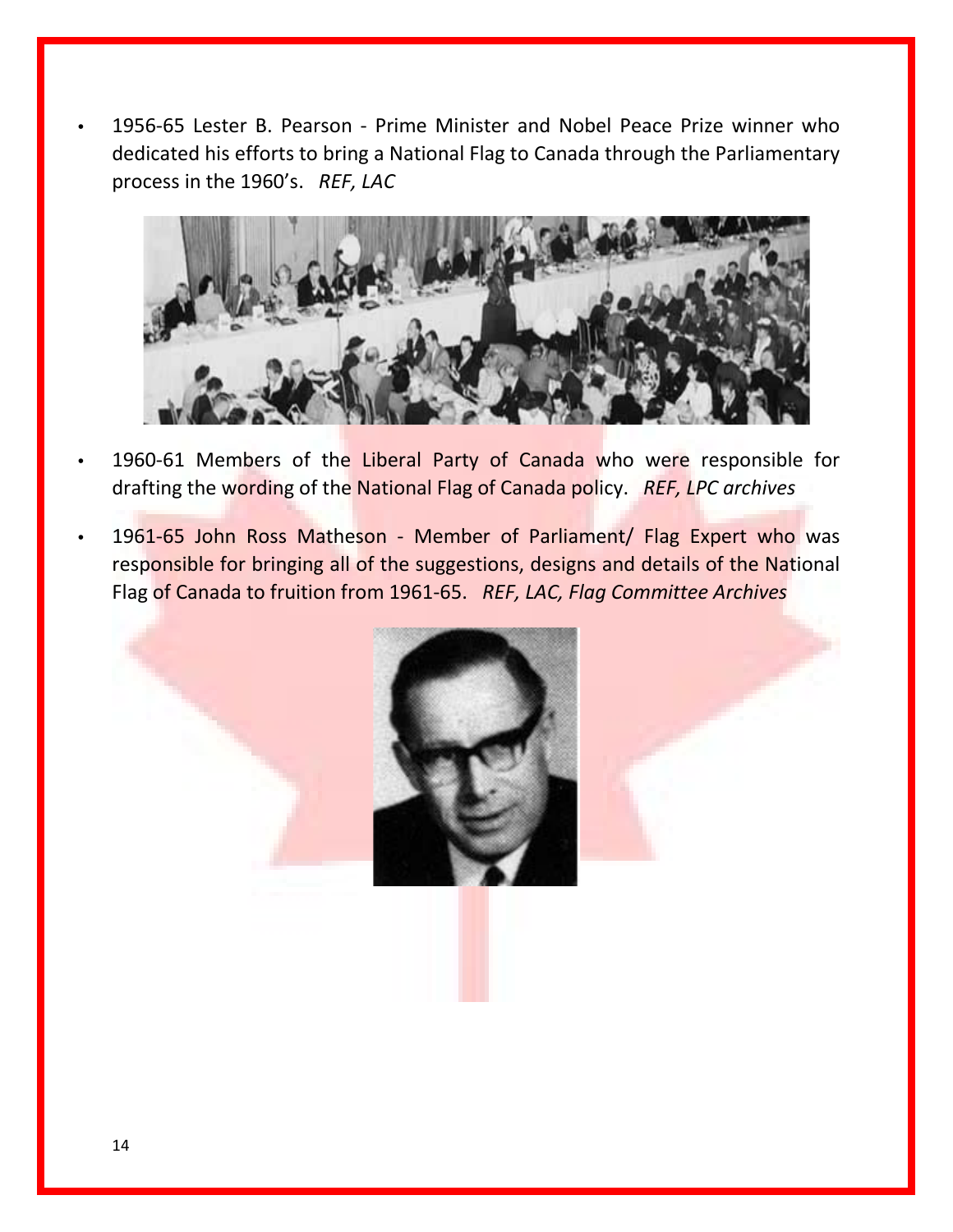• 1956-65 Lester B. Pearson - Prime Minister and Nobel Peace Prize winner who dedicated his efforts to bring a National Flag to Canada through the Parliamentary process in the 1960's. *REF, LAC*



- 1960-61 Members of the Liberal Party of Canada who were responsible for drafting the wording of the National Flag of Canada policy. *REF, LPC archives*
- 1961-65 John Ross Matheson Member of Parliament/ Flag Expert who was responsible for bringing all of the suggestions, designs and details of the National Flag of Canada to fruition from 1961-65. *REF, LAC, Flag Committee Archives*

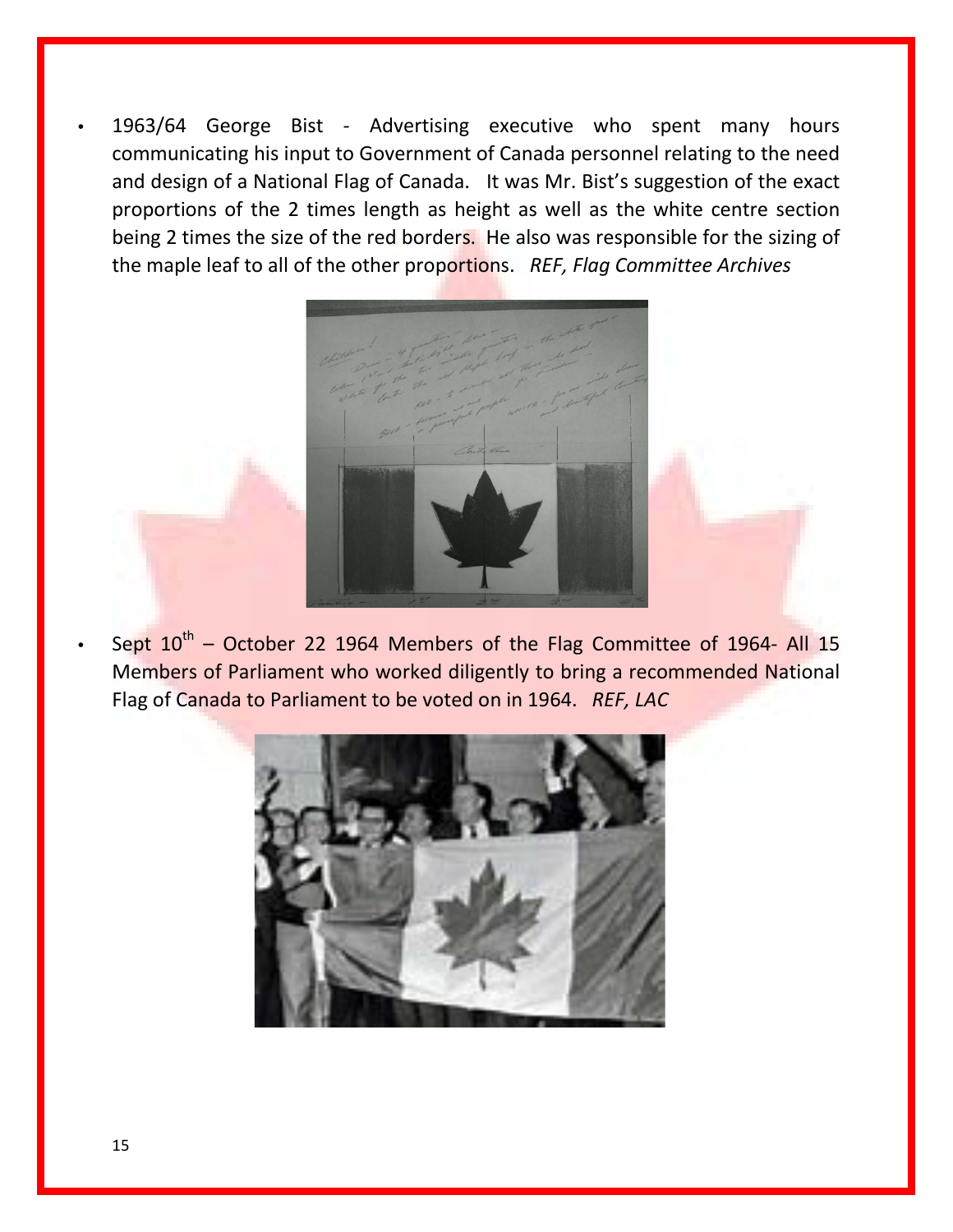• 1963/64 George Bist - Advertising executive who spent many hours communicating his input to Government of Canada personnel relating to the need and design of a National Flag of Canada. It was Mr. Bist's suggestion of the exact proportions of the 2 times length as height as well as the white centre section being 2 times the size of the red borders. He also was responsible for the sizing of the maple leaf to all of the other proportions. *REF, Flag Committee Archives*



Sept  $10^{th}$  – October 22 1964 Members of the Flag Committee of 1964- All 15 Members of Parliament who worked diligently to bring a recommended National Flag of Canada to Parliament to be voted on in 1964. *REF, LAC*

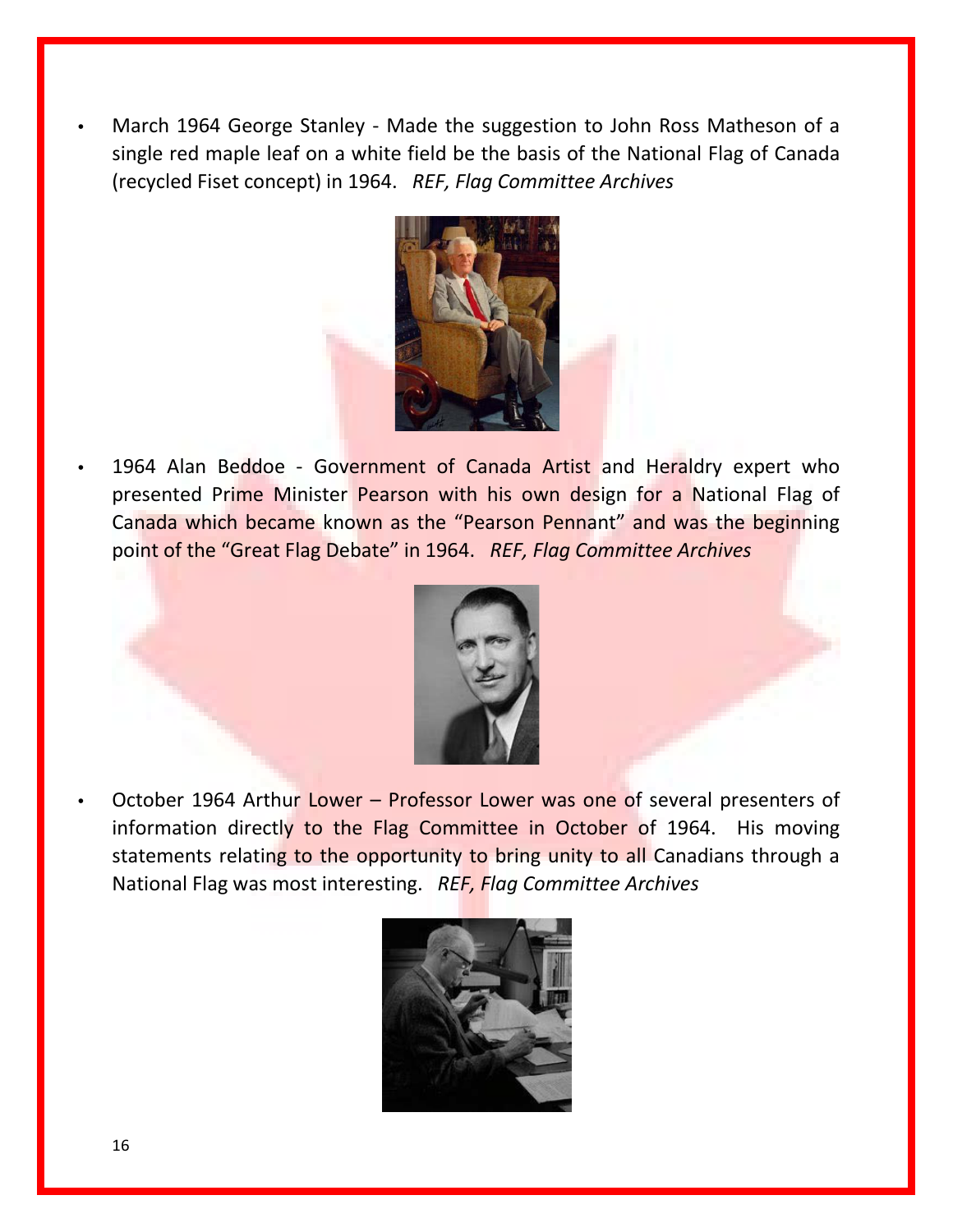• March 1964 George Stanley - Made the suggestion to John Ross Matheson of a single red maple leaf on a white field be the basis of the National Flag of Canada (recycled Fiset concept) in 1964. *REF, Flag Committee Archives*



1964 Alan Beddoe - Government of Canada Artist and Heraldry expert who presented Prime Minister Pearson with his own design for a National Flag of Canada which became known as the "Pearson Pennant" and was the beginning point of the "Great Flag Debate" in 1964. *REF, Flag Committee Archives*



• October 1964 Arthur Lower – Professor Lower was one of several presenters of information directly to the Flag Committee in October of 1964. His moving statements relating to the opportunity to bring unity to all Canadians through a National Flag was most interesting. *REF, Flag Committee Archives*

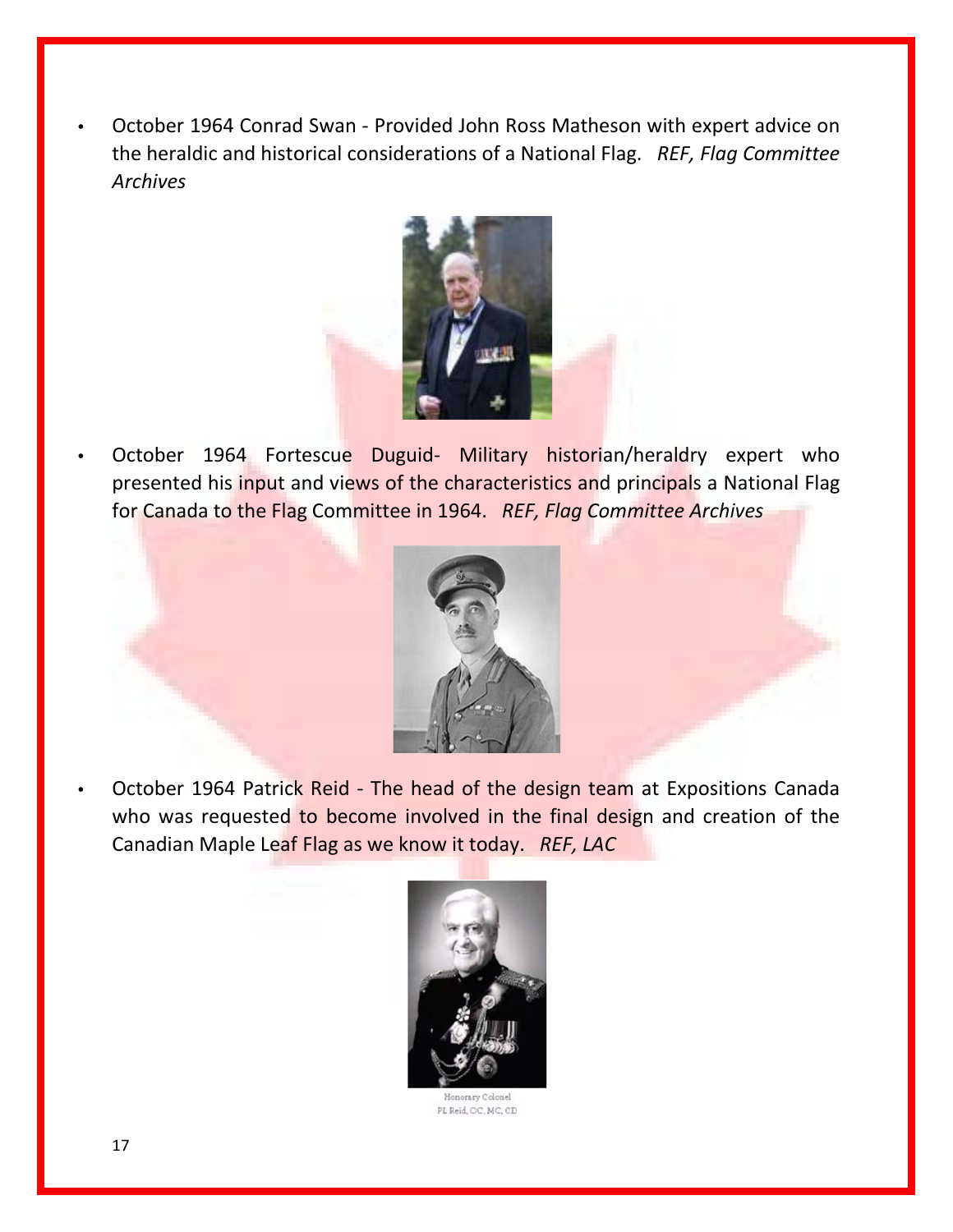• October 1964 Conrad Swan - Provided John Ross Matheson with expert advice on the heraldic and historical considerations of a National Flag. *REF, Flag Committee Archives*



October 1964 Fortescue Duguid- Military historian/heraldry expert who presented his input and views of the characteristics and principals a National Flag for Canada to the Flag Committee in 1964. *REF, Flag Committee Archives*



• October 1964 Patrick Reid - The head of the design team at Expositions Canada who was requested to become involved in the final design and creation of the Canadian Maple Leaf Flag as we know it today. *REF, LAC*



PL Reid, OC, MC, CD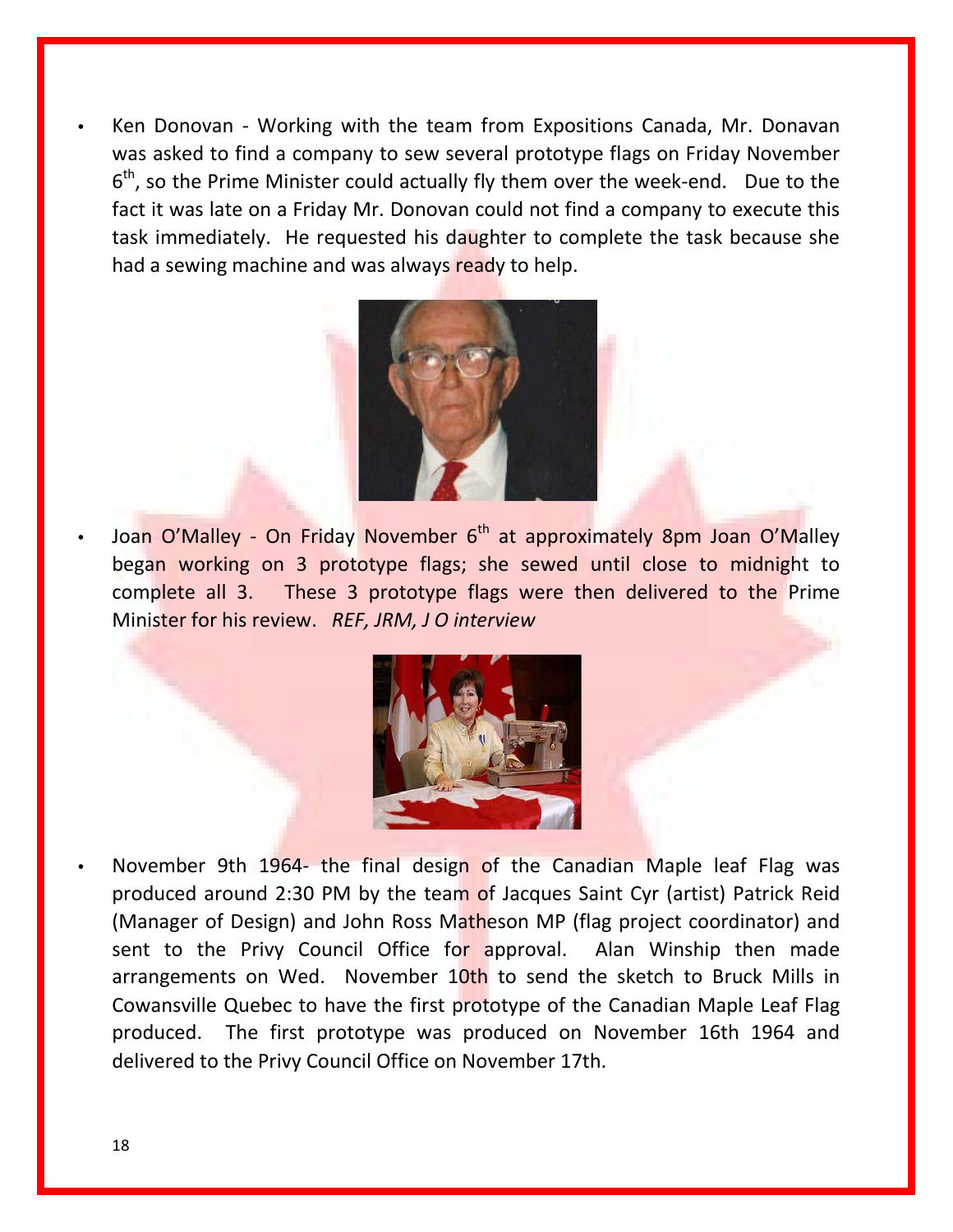• Ken Donovan - Working with the team from Expositions Canada, Mr. Donavan was asked to find a company to sew several prototype flags on Friday November  $6<sup>th</sup>$ , so the Prime Minister could actually fly them over the week-end. Due to the fact it was late on a Friday Mr. Donovan could not find a company to execute this task immediately. He requested his daughter to complete the task because she had a sewing machine and was always ready to help.



Joan O'Malley - On Friday November 6<sup>th</sup> at approximately 8pm Joan O'Malley began working on 3 prototype flags; she sewed until close to midnight to complete all 3. These 3 prototype flags were then delivered to the Prime Minister for his review. *REF, JRM, J O interview*



November 9th 1964- the final design of the Canadian Maple leaf Flag was produced around 2:30 PM by the team of Jacques Saint Cyr (artist) Patrick Reid (Manager of Design) and John Ross Matheson MP (flag project coordinator) and sent to the Privy Council Office for approval. Alan Winship then made arrangements on Wed. November 10th to send the sketch to Bruck Mills in Cowansville Quebec to have the first prototype of the Canadian Maple Leaf Flag produced. The first prototype was produced on November 16th 1964 and delivered to the Privy Council Office on November 17th.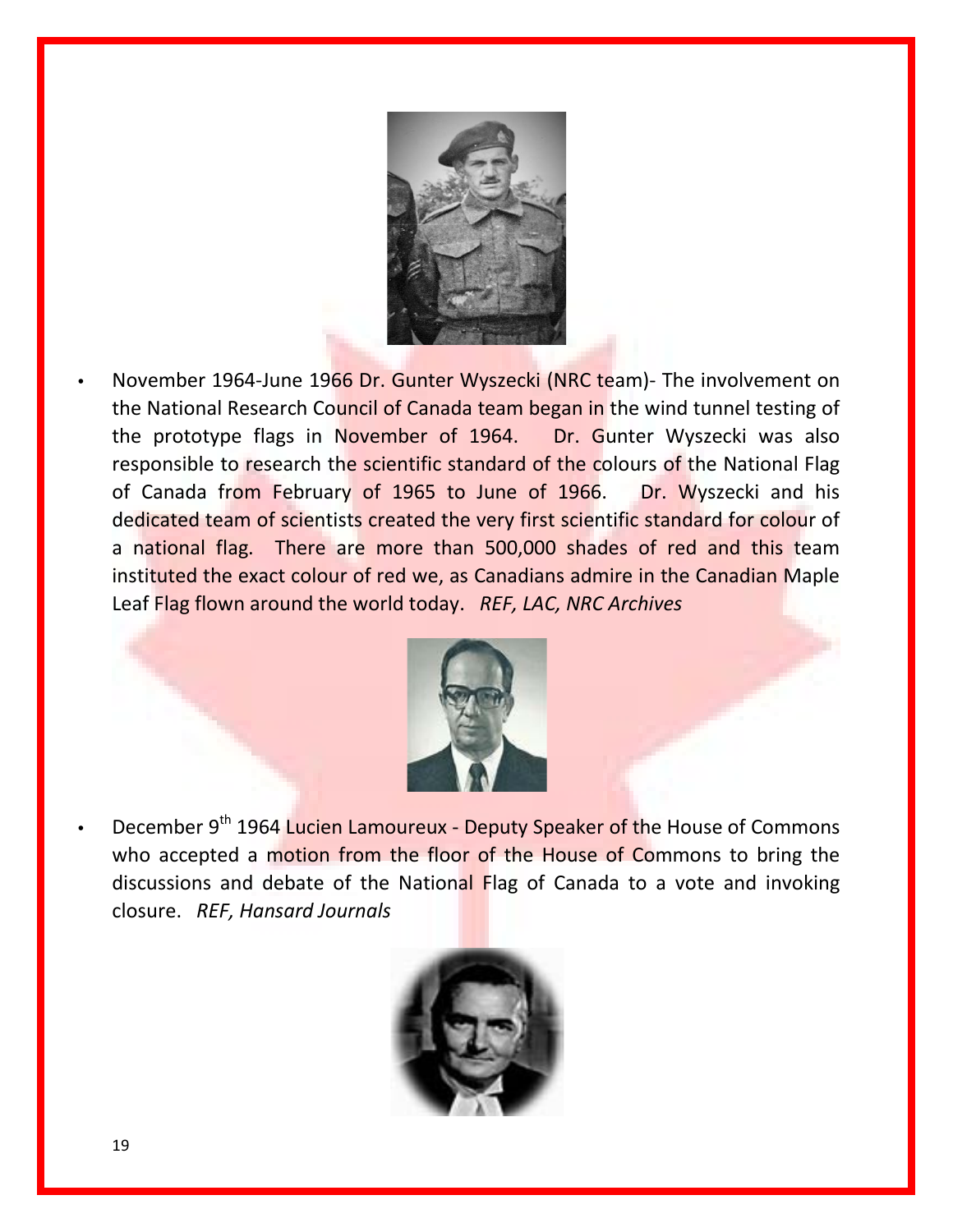

• November 1964-June 1966 Dr. Gunter Wyszecki (NRC team)- The involvement on the National Research Council of Canada team began in the wind tunnel testing of the prototype flags in November of 1964. Dr. Gunter Wyszecki was also responsible to research the scientific standard of the colours of the National Flag of Canada from February of 1965 to June of 1966. Dr. Wyszecki and his dedicated team of scientists created the very first scientific standard for colour of a national flag. There are more than 500,000 shades of red and this team instituted the exact colour of red we, as Canadians admire in the Canadian Maple Leaf Flag flown around the world today. *REF, LAC, NRC Archives*



December 9<sup>th</sup> 1964 Lucien Lamoureux - Deputy Speaker of the House of Commons who accepted a motion from the floor of the House of Commons to bring the discussions and debate of the National Flag of Canada to a vote and invoking closure. *REF, Hansard Journals*

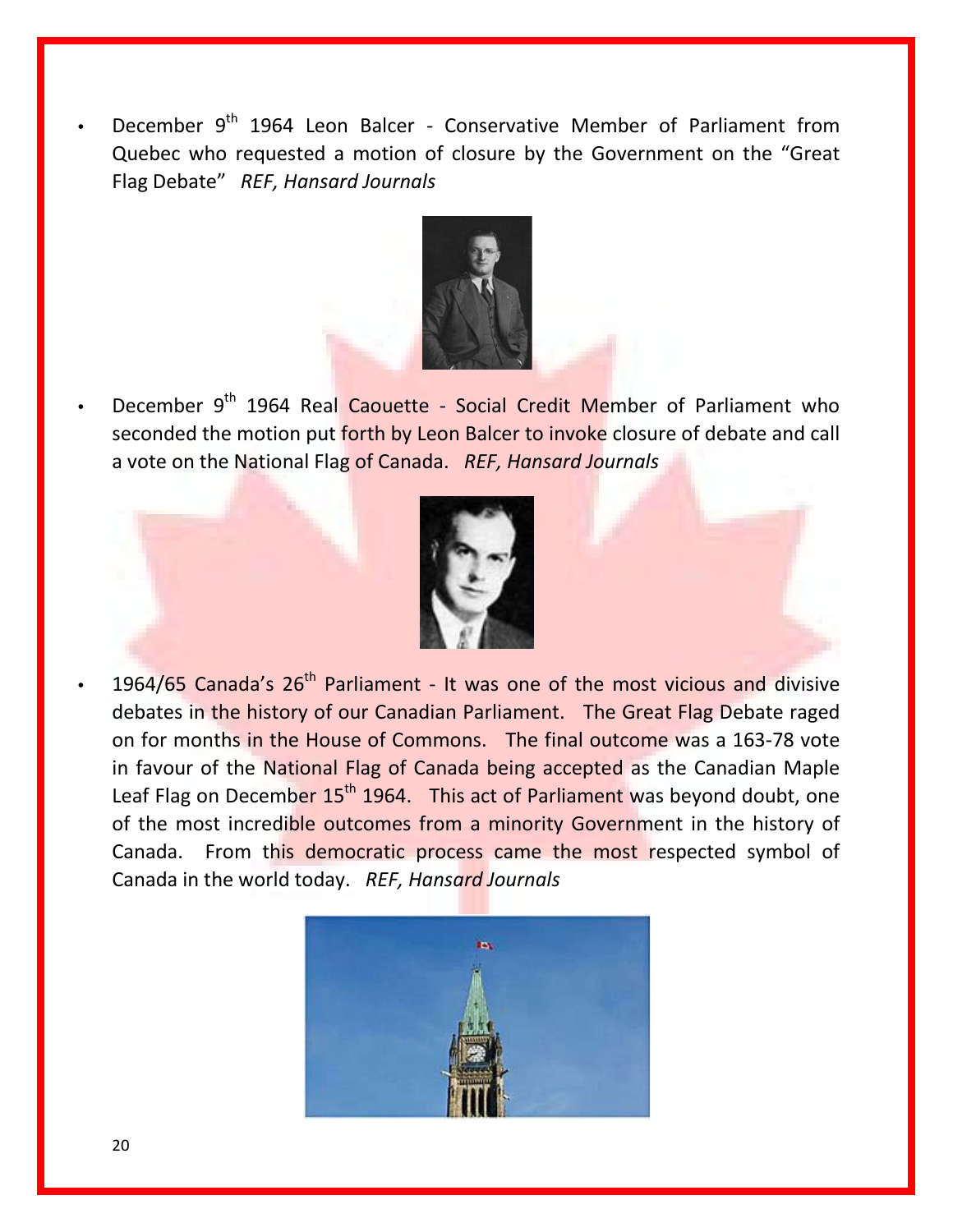December 9<sup>th</sup> 1964 Leon Balcer - Conservative Member of Parliament from Quebec who requested a motion of closure by the Government on the "Great Flag Debate" *REF, Hansard Journals*



December 9<sup>th</sup> 1964 Real Caouette - Social Credit Member of Parliament who seconded the motion put forth by Leon Balcer to invoke closure of debate and call a vote on the National Flag of Canada. *REF, Hansard Journals*



1964/65 Canada's 26<sup>th</sup> Parliament - It was one of the most vicious and divisive debates in the history of our Canadian Parliament. The Great Flag Debate raged on for months in the House of Commons. The final outcome was a 163-78 vote in favour of the National Flag of Canada being accepted as the Canadian Maple Leaf Flag on December 15<sup>th</sup> 1964. This act of Parliament was beyond doubt, one of the most incredible outcomes from a minority Government in the history of Canada. From this democratic process came the most respected symbol of Canada in the world today. *REF, Hansard Journals*

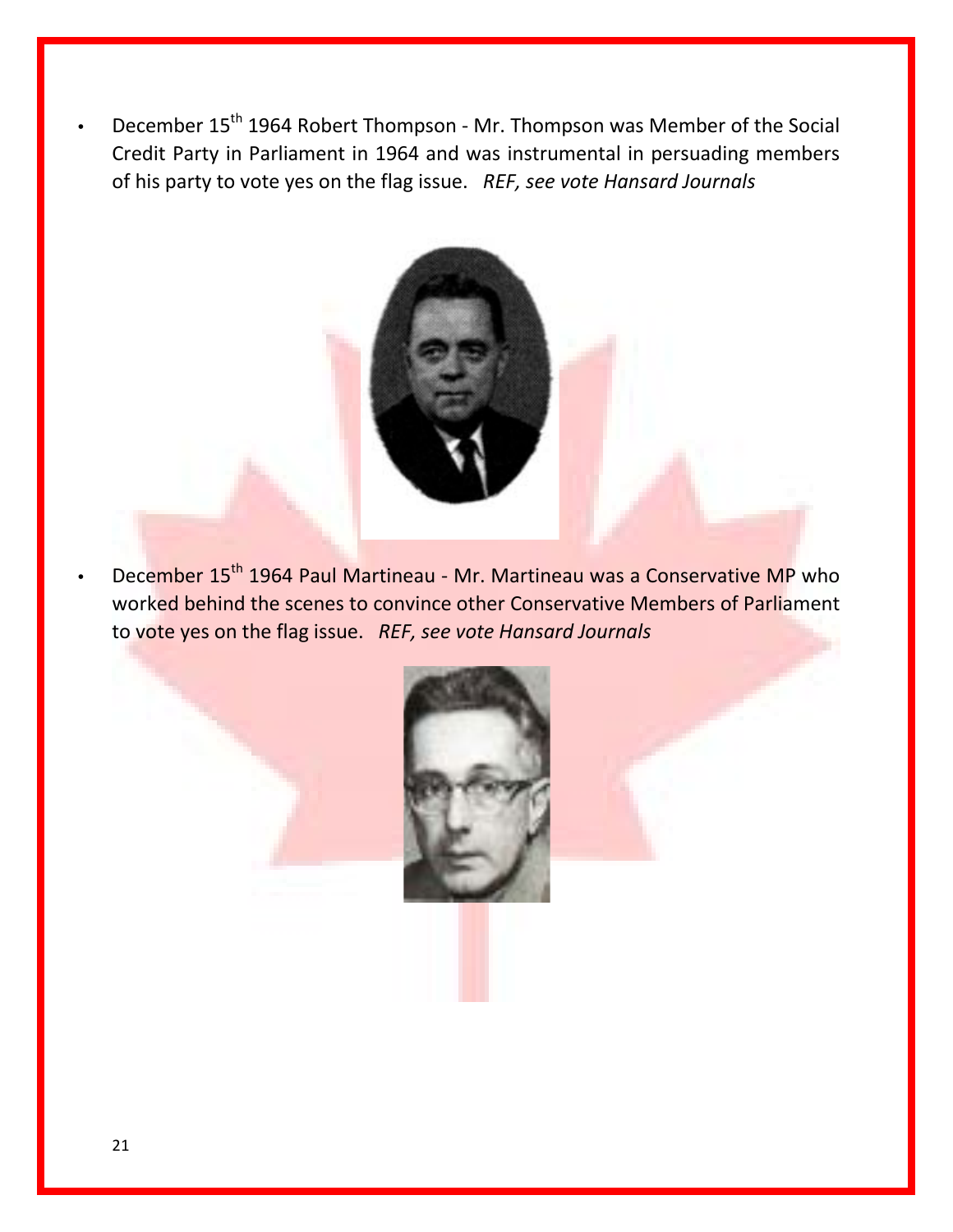December 15<sup>th</sup> 1964 Robert Thompson - Mr. Thompson was Member of the Social Credit Party in Parliament in 1964 and was instrumental in persuading members of his party to vote yes on the flag issue. *REF, see vote Hansard Journals*



December 15<sup>th</sup> 1964 Paul Martineau - Mr. Martineau was a Conservative MP who worked behind the scenes to convince other Conservative Members of Parliament to vote yes on the flag issue. *REF, see vote Hansard Journals*

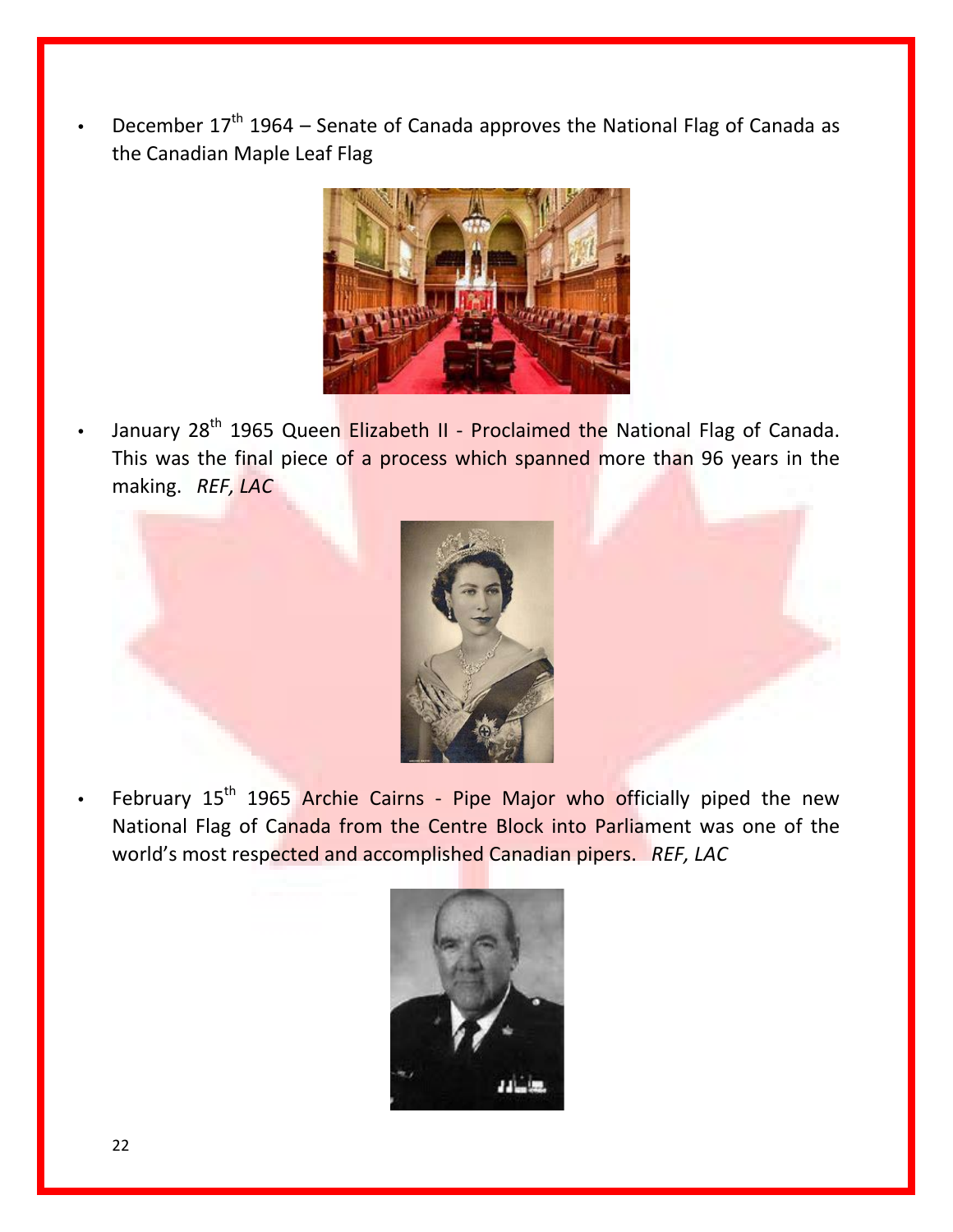December  $17<sup>th</sup>$  1964 – Senate of Canada approves the National Flag of Canada as the Canadian Maple Leaf Flag



January 28<sup>th</sup> 1965 Queen Elizabeth II - Proclaimed the National Flag of Canada. This was the final piece of a process which spanned more than 96 years in the making. *REF, LAC*



February  $15<sup>th</sup>$  1965 Archie Cairns - Pipe Major who officially piped the new National Flag of Canada from the Centre Block into Parliament was one of the world's most respected and accomplished Canadian pipers. *REF, LAC*

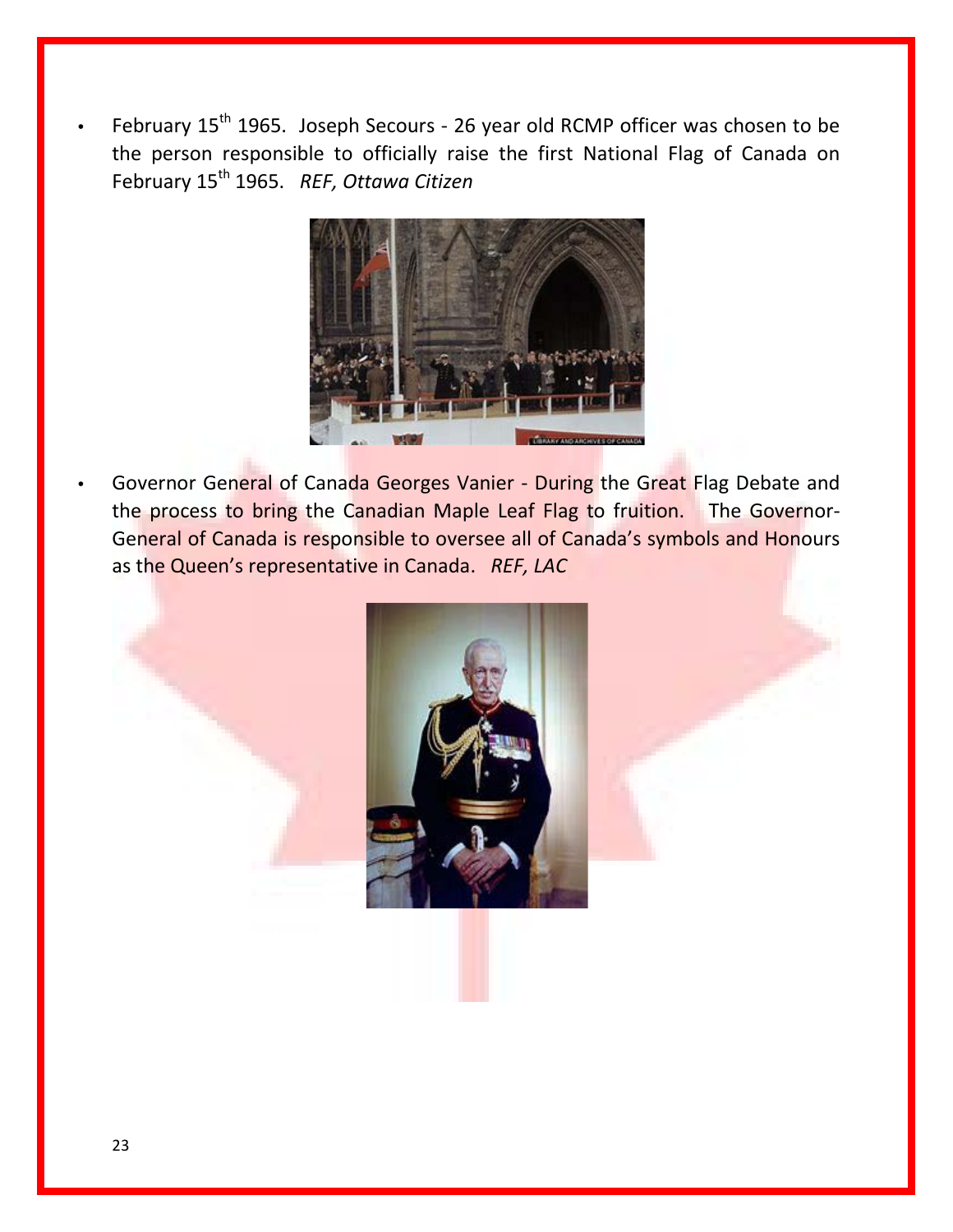February 15<sup>th</sup> 1965. Joseph Secours - 26 year old RCMP officer was chosen to be the person responsible to officially raise the first National Flag of Canada on February 15th 1965. *REF, Ottawa Citizen*



Governor General of Canada Georges Vanier - During the Great Flag Debate and the process to bring the Canadian Maple Leaf Flag to fruition. The Governor-General of Canada is responsible to oversee all of Canada's symbols and Honours as the Queen's representative in Canada. *REF, LAC*

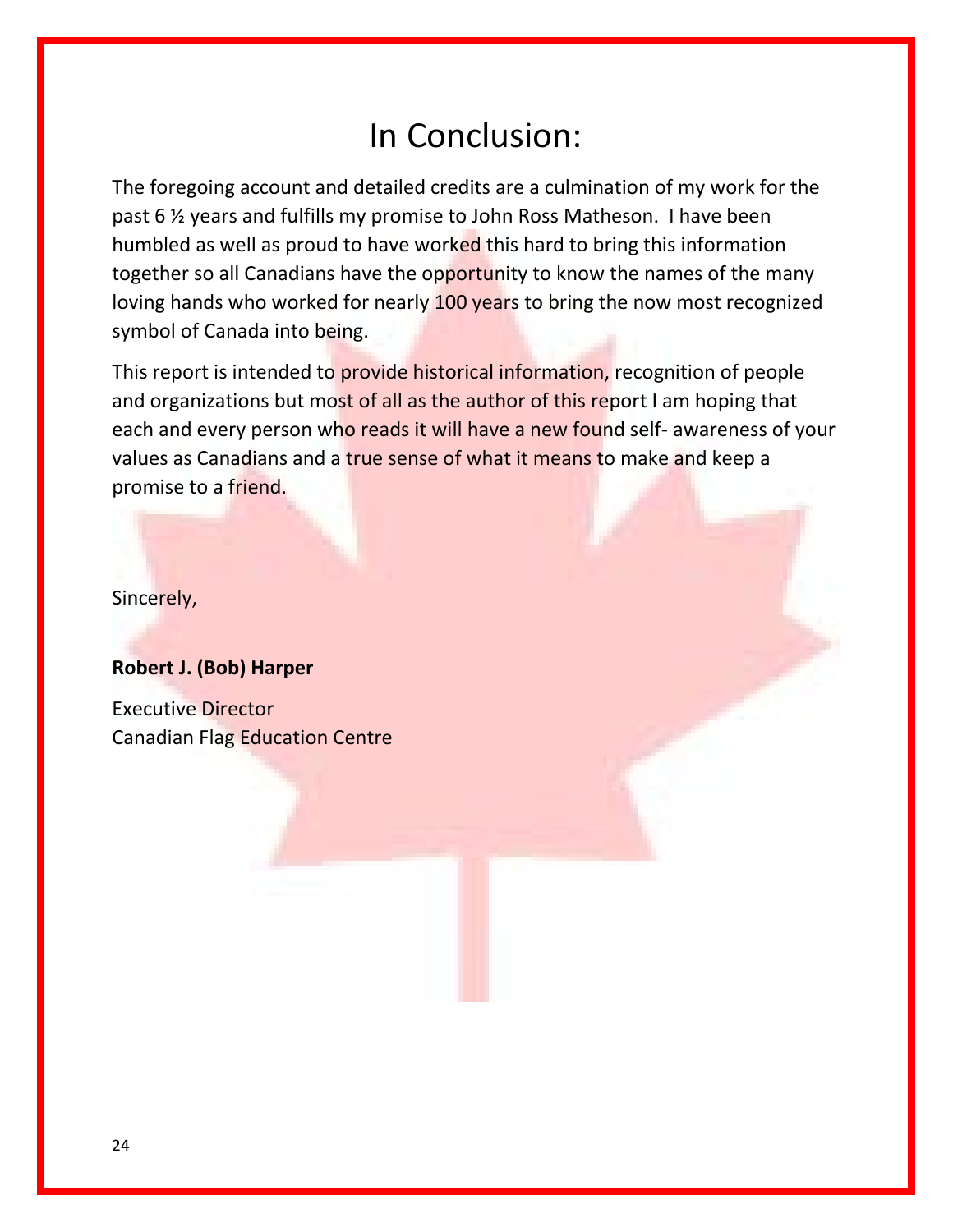## In Conclusion:

The foregoing account and detailed credits are a culmination of my work for the past 6 ½ years and fulfills my promise to John Ross Matheson. I have been humbled as well as proud to have worked this hard to bring this information together so all Canadians have the opportunity to know the names of the many loving hands who worked for nearly 100 years to bring the now most recognized symbol of Canada into being.

This report is intended to provide historical information, recognition of people and organizations but most of all as the author of this report I am hoping that each and every person who reads it will have a new found self- awareness of your values as Canadians and a true sense of what it means to make and keep a promise to a friend.

Sincerely,

#### **Robert J. (Bob) Harper**

Executive Director Canadian Flag Education Centre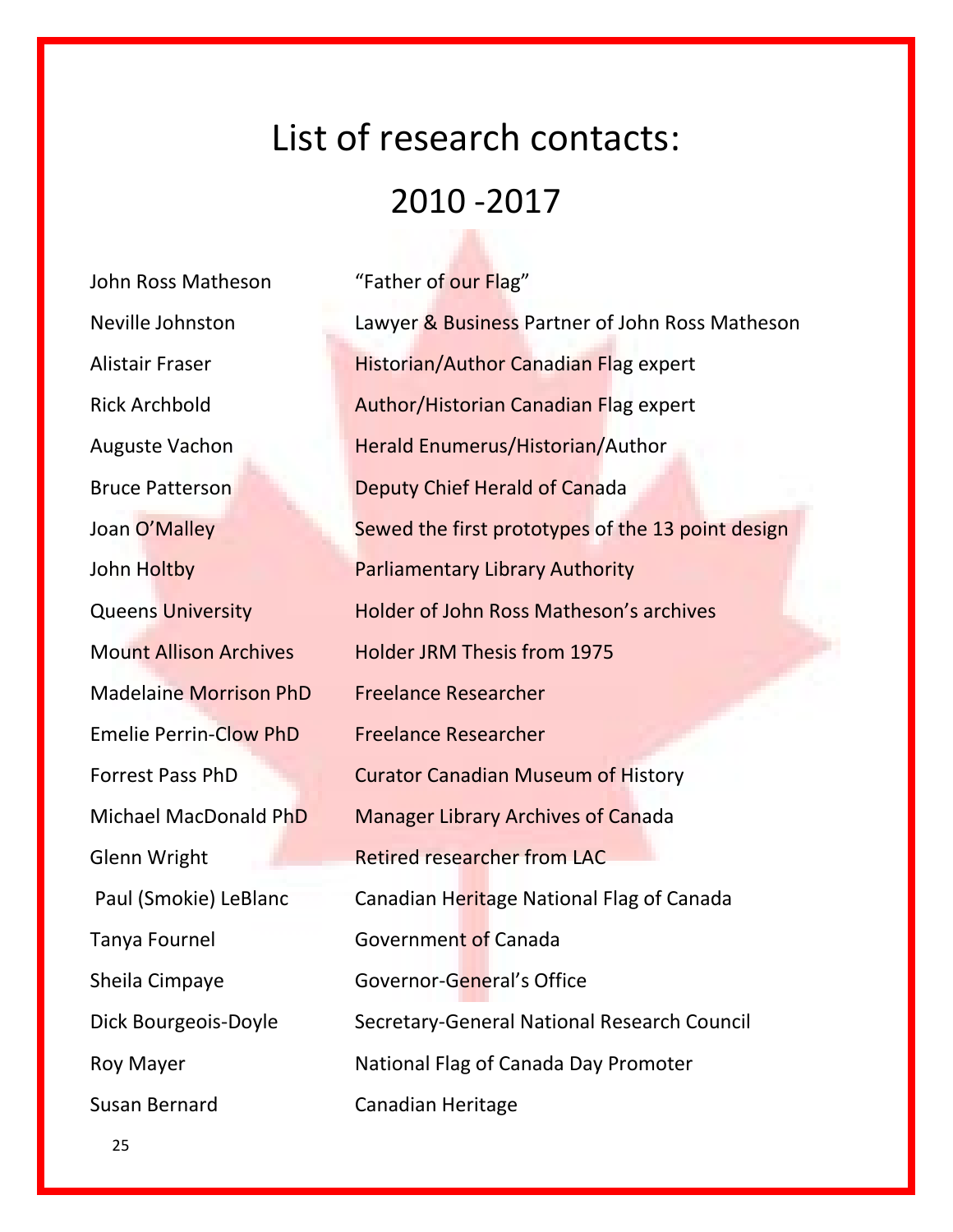# List of research contacts: 2010 -2017

John Ross Matheson "Father of our Flag" Madelaine Morrison PhD Freelance Researcher Emelie Perrin-Clow PhD Freelance Researcher Susan Bernard Canadian Heritage

Neville Johnston Lawyer & Business Partner of John Ross Matheson Alistair Fraser **Historian/Author Canadian Flag expert** Rick Archbold **Author/Historian Canadian Flag expert** Auguste Vachon **Herald Enumerus/Historian/Author** Bruce Patterson Deputy Chief Herald of Canada Joan O'Malley Sewed the first prototypes of the 13 point design John Holtby Parliamentary Library Authority Queens University Holder of John Ross Matheson's archives Mount Allison Archives Holder JRM Thesis from 1975 Forrest Pass PhD **Curator Canadian Museum of History** Michael MacDonald PhD Manager Library Archives of Canada Glenn Wright **Retired researcher from LAC** Paul (Smokie) LeBlanc Canadian Heritage National Flag of Canada Tanya Fournel **Government of Canada** Sheila Cimpaye Governor-General's Office Dick Bourgeois-Doyle Secretary-General National Research Council Roy Mayer National Flag of Canada Day Promoter

25